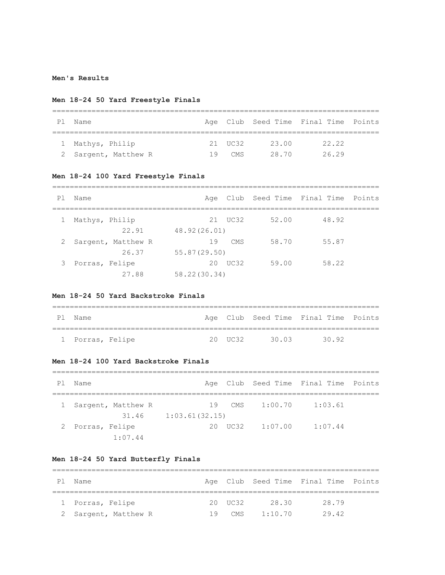### **Men's Results**

## **Men 18-24 50 Yard Freestyle Finals**

| Ρl | Name                 |    |         |       | Age Club Seed Time Final Time Points |  |  |  |  |  |  |
|----|----------------------|----|---------|-------|--------------------------------------|--|--|--|--|--|--|
|    |                      |    |         |       |                                      |  |  |  |  |  |  |
|    | 1 Mathys, Philip     |    | 21 UC32 | 23 00 | 22.22                                |  |  |  |  |  |  |
|    | 2 Sargent, Matthew R | 19 | CMS     | 28.70 | 26.29                                |  |  |  |  |  |  |

## **Men 18-24 100 Yard Freestyle Finals**

| Ρl | Name               |              |         |       | Age Club Seed Time Final Time Points |  |
|----|--------------------|--------------|---------|-------|--------------------------------------|--|
|    |                    |              |         |       |                                      |  |
|    | Mathys, Philip     |              | 21 UC32 | 52.00 | 48.92                                |  |
|    | 22.91              | 48.92(26.01) |         |       |                                      |  |
| 2  | Sargent, Matthew R | 19           | CMS.    | 58.70 | 55.87                                |  |
|    | 26.37              | 55.87(29.50) |         |       |                                      |  |
|    | 3 Porras, Felipe   |              | 20 UC32 | 59.00 | 58.22                                |  |
|    | 27.88              | 58.22(30.34) |         |       |                                      |  |

### **Men 18-24 50 Yard Backstroke Finals**

| P 1 | Name             |  |         |       | Age Club Seed Time Final Time Points |  |
|-----|------------------|--|---------|-------|--------------------------------------|--|
|     |                  |  |         |       |                                      |  |
|     | 1 Porras, Felipe |  | 20 UC32 | 30 03 | 3092                                 |  |

### **Men 18-24 100 Yard Backstroke Finals**

| P1 | Name               |                |     |                 | Age Club Seed Time Final Time Points |  |
|----|--------------------|----------------|-----|-----------------|--------------------------------------|--|
|    | Sargent, Matthew R | 19             | CMS | 1:00.70         | 1:03.61                              |  |
|    | 31.46              | 1:03.61(32.15) |     |                 |                                      |  |
|    | Porras, Felipe     |                |     | 20 UC32 1:07.00 | 1:07.44                              |  |
|    | 1:07.44            |                |     |                 |                                      |  |

## **Men 18-24 50 Yard Butterfly Finals**

| ΡI | Name                 |  |          |         | Age Club Seed Time Final Time Points |  |  |  |  |  |  |
|----|----------------------|--|----------|---------|--------------------------------------|--|--|--|--|--|--|
|    |                      |  |          |         |                                      |  |  |  |  |  |  |
|    | 1 Porras, Felipe     |  | 20 UC32  | 28.30   | 28.79                                |  |  |  |  |  |  |
|    | 2 Sargent, Matthew R |  | $19$ CMS | 1:10.70 | 29.42                                |  |  |  |  |  |  |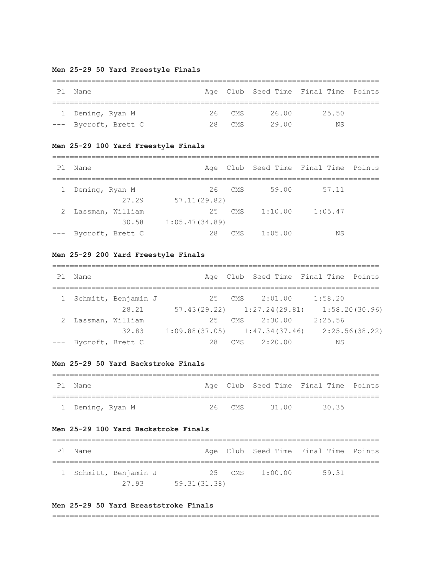### **Men 25-29 50 Yard Freestyle Finals**

| Ρl | Name                 |    |            |       | Age Club Seed Time Final Time Points |  |  |  |  |  |  |
|----|----------------------|----|------------|-------|--------------------------------------|--|--|--|--|--|--|
|    | 1 Deming, Ryan M     |    | $26$ CMS   | 26.00 | 25.50                                |  |  |  |  |  |  |
|    | --- Bycroft, Brett C | クヌ | <b>CMS</b> | 29 00 | ΝS                                   |  |  |  |  |  |  |

### **Men 25-29 100 Yard Freestyle Finals**

===========================================================================

| P1 | Name                 |                |     |         | Age Club Seed Time Final Time Points |  |
|----|----------------------|----------------|-----|---------|--------------------------------------|--|
|    | Deming, Ryan M       | 26             | CMS | 59.00   | 57.11                                |  |
|    | 27.29                | 57.11(29.82)   |     |         |                                      |  |
|    | Lassman, William     | 25             | CMS | 1:10.00 | 1:05.47                              |  |
|    | 30.58                | 1:05.47(34.89) |     |         |                                      |  |
|    | --- Bycroft, Brett C | 28             | CMS | 1:05.00 | ΝS                                   |  |

### **Men 25-29 200 Yard Freestyle Finals**

=========================================================================== Pl Name **Age Club Seed Time Final Time Points** =========================================================================== 1 Schmitt, Benjamin J 25 CMS 2:01.00 1:58.20 28.21 57.43(29.22) 1:27.24(29.81) 1:58.20(30.96) 2 Lassman, William 25 CMS 2:30.00 2:25.56 32.83 1:09.88(37.05) 1:47.34(37.46) 2:25.56(38.22) --- Bycroft, Brett C 28 CMS 2:20.00 NS

## **Men 25-29 50 Yard Backstroke Finals**

| P1 | Name             |            |       | Age Club Seed Time Final Time Points |  |
|----|------------------|------------|-------|--------------------------------------|--|
|    |                  |            |       |                                      |  |
|    | 1 Deming, Ryan M | $26$ $CMS$ | 31 00 | 3035                                 |  |

### **Men 25-29 100 Yard Backstroke Finals**

| P1 | Name |                       |               |        |         | Age Club Seed Time Final Time Points |  |
|----|------|-----------------------|---------------|--------|---------|--------------------------------------|--|
|    |      | 1 Schmitt, Benjamin J |               | 25 CMS | 1:00.00 | 59.31                                |  |
|    |      | 2793                  | 59.31 (31.38) |        |         |                                      |  |

### **Men 25-29 50 Yard Breaststroke Finals**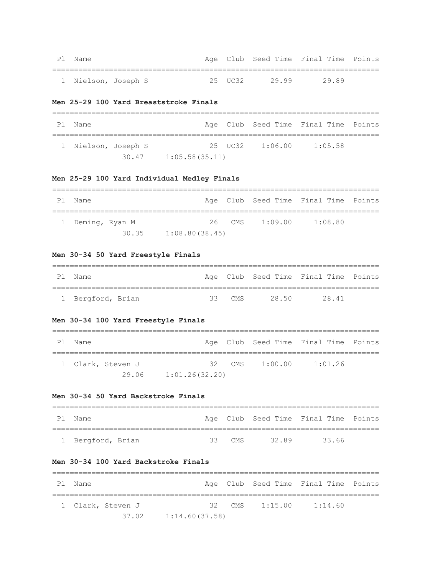| Pl Name             |  |  | Age Club Seed Time Final Time Points |  |
|---------------------|--|--|--------------------------------------|--|
|                     |  |  |                                      |  |
| 1 Nielson, Joseph S |  |  | 25 UC32 29.99 29.89                  |  |

### **Men 25-29 100 Yard Breaststroke Finals**

| P1 | Name                |       |                |  |                 | Age Club Seed Time Final Time Points |  |
|----|---------------------|-------|----------------|--|-----------------|--------------------------------------|--|
|    | 1 Nielson, Joseph S |       |                |  | 25 UC32 1:06.00 | 1:05.58                              |  |
|    |                     | 30.47 | 1:05.58(35.11) |  |                 |                                      |  |

# **Men 25-29 100 Yard Individual Medley Finals**

| P1 | Name             |       |                |        |         | Age Club Seed Time Final Time Points |  |  |  |  |  |
|----|------------------|-------|----------------|--------|---------|--------------------------------------|--|--|--|--|--|
|    | 1 Deming, Ryan M |       |                | 26 CMS | 1:09.00 | 1:08.80                              |  |  |  |  |  |
|    |                  | 30.35 | 1:08.80(38.45) |        |         |                                      |  |  |  |  |  |

# **Men 30-34 50 Yard Freestyle Finals**

| Pl Name           |          |      | Age Club Seed Time Final Time Points |  |
|-------------------|----------|------|--------------------------------------|--|
|                   |          |      |                                      |  |
| 1 Bergford, Brian | 33 $CMS$ | 2850 | 28.41                                |  |

## **Men 30-34 100 Yard Freestyle Finals**

| P1 | Name |                   |                |                | Age Club Seed Time Final Time Points |  |
|----|------|-------------------|----------------|----------------|--------------------------------------|--|
|    |      | 1 Clark, Steven J |                | 32 CMS 1:00.00 | 1:01.26                              |  |
|    |      | 29.06             | 1:01.26(32.20) |                |                                      |  |

### **Men 30-34 50 Yard Backstroke Finals**

| Pl Name           |          |      | Age Club Seed Time Final Time Points |  |
|-------------------|----------|------|--------------------------------------|--|
|                   |          |      |                                      |  |
| 1 Bergford, Brian | $33$ CMS | 3289 | 33.66                                |  |

## **Men 30-34 100 Yard Backstroke Finals**

| P1 | Name |                   |                |  |                               | Age Club Seed Time Final Time Points |  |  |  |
|----|------|-------------------|----------------|--|-------------------------------|--------------------------------------|--|--|--|
|    |      | 1 Clark, Steven J |                |  | $32 \, \text{CMS} \, 1:15.00$ | 1:14.60                              |  |  |  |
|    |      | 37.02             | 1:14.60(37.58) |  |                               |                                      |  |  |  |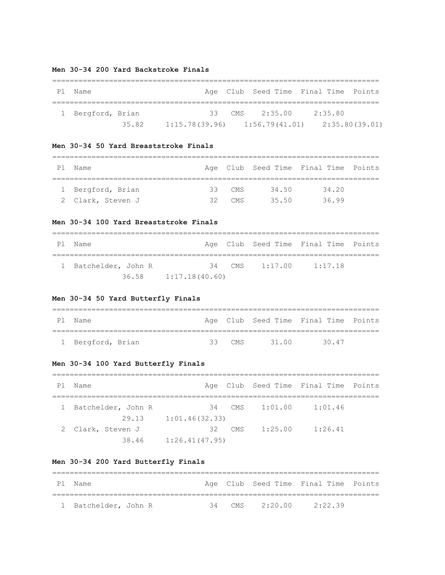### **Men 30-34 200 Yard Backstroke Finals**

| Ρl | Name              |       |  |          | Age Club Seed Time Final Time Points |         |                |
|----|-------------------|-------|--|----------|--------------------------------------|---------|----------------|
|    | 1 Bergford, Brian |       |  | $33$ CMS | 2:35.00                              | 2:35.80 |                |
|    |                   | 35.82 |  |          | $1:15.78(39.96)$ $1:56.79(41.01)$    |         | 2:35.80(39.01) |

### **Men 30-34 50 Yard Breaststroke Finals**

| Ρl | Name              |    |          |       | Age Club Seed Time Final Time Points |  |  |  |
|----|-------------------|----|----------|-------|--------------------------------------|--|--|--|
|    | 1 Bergford, Brian |    | $33$ CMS | 34.50 | 34.20                                |  |  |  |
|    | 2 Clark, Steven J | ヌク | CMS.     | 35.50 | 36.99                                |  |  |  |

### **Men 30-34 100 Yard Breaststroke Finals**

| Pl Name              |                        |  | Age Club Seed Time Final Time Points |  |
|----------------------|------------------------|--|--------------------------------------|--|
|                      |                        |  |                                      |  |
| 1 Batchelder, John R |                        |  | 34 CMS 1:17.00 1:17.18               |  |
|                      | $36.58$ 1:17.18(40.60) |  |                                      |  |

## **Men 30-34 50 Yard Butterfly Finals**

| P 1 | Name              |          |       | Age Club Seed Time Final Time Points |
|-----|-------------------|----------|-------|--------------------------------------|
|     |                   |          |       |                                      |
|     | 1 Bergford, Brian | 33 $CMS$ | 31 00 | 3047                                 |

### **Men 30-34 100 Yard Butterfly Finals**

| P 1 | Name                       |                |        |         | Age Club Seed Time Final Time Points |  |
|-----|----------------------------|----------------|--------|---------|--------------------------------------|--|
|     | Batchelder, John R         |                | 34 CMS | 1:01.00 | 1:01.46                              |  |
|     | 29.13<br>2 Clark, Steven J | 1:01.46(32.33) | 32 CMS | 1:25.00 | 1:26.41                              |  |
|     | 38.46                      | 1:26.41(47.95) |        |         |                                      |  |

# **Men 30-34 200 Yard Butterfly Finals**

| Pl Name              |  |                              | Age Club Seed Time Final Time Points |  |
|----------------------|--|------------------------------|--------------------------------------|--|
|                      |  |                              |                                      |  |
| 1 Batchelder, John R |  | $34$ CMS $2:20.00$ $2:22.39$ |                                      |  |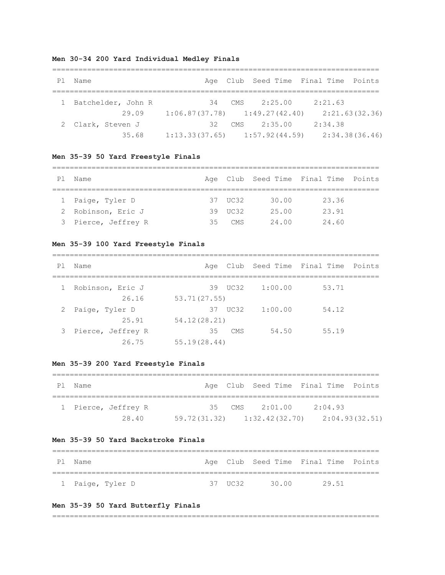## **Men 30-34 200 Yard Individual Medley Finals**

| P1 | Name               |                |                                   | Age Club Seed Time Final Time Points |
|----|--------------------|----------------|-----------------------------------|--------------------------------------|
|    | Batchelder, John R | 34             | 2:25.00<br>CMS                    | 2:21.63                              |
|    | 29.09              |                | $1:06.87(37.78)$ $1:49.27(42.40)$ | 2:21.63(32.36)                       |
|    | 2 Clark, Steven J  | 32             | $CMS \t 2:35.00$                  | 2:34.38                              |
|    | 35.68              | 1:13.33(37.65) | 1:57.92(44.59)                    | 2:34.38(36.46)                       |

## **Men 35-39 50 Yard Freestyle Finals**

| Ρl | Name                |    |         |       | Age Club Seed Time Final Time Points |  |  |  |  |
|----|---------------------|----|---------|-------|--------------------------------------|--|--|--|--|
|    |                     |    |         |       |                                      |  |  |  |  |
|    | 1 Paige, Tyler D    |    | 37 UC32 | 30.00 | 23.36                                |  |  |  |  |
|    | 2 Robinson, Eric J  |    | 39 UC32 | 25 00 | 23.91                                |  |  |  |  |
|    | 3 Pierce, Jeffrey R | २५ | CMS     | 24.00 | 24.60                                |  |  |  |  |

## **Men 35-39 100 Yard Freestyle Finals**

===========================================================================

| Ρl | Name              |              |         |         | Age Club Seed Time Final Time Points |  |
|----|-------------------|--------------|---------|---------|--------------------------------------|--|
|    | Robinson, Eric J  |              | 39 UC32 | 1:00.00 | 53.71                                |  |
|    | 26.16             | 53.71(27.55) |         |         |                                      |  |
|    | 2 Paige, Tyler D  |              | 37 UC32 | 1:00.00 | 54.12                                |  |
|    | 25.91             | 54.12(28.21) |         |         |                                      |  |
| 3  | Pierce, Jeffrey R | 35           | CMS     | 54.50   | 55.19                                |  |
|    | 26.75             | 55.19(28.44) |         |         |                                      |  |

# **Men 35-39 200 Yard Freestyle Finals**

| P1 | Name |                     |          |                             | Age Club Seed Time Final Time Points |                |
|----|------|---------------------|----------|-----------------------------|--------------------------------------|----------------|
|    |      | 1 Pierce, Jeffrey R | $35$ CMS | 2:01.00                     | 2:04.93                              |                |
|    |      | 28.40               |          | 59.72(31.32) 1:32.42(32.70) |                                      | 2:04.93(32.51) |

# **Men 35-39 50 Yard Backstroke Finals**

| P 1 | . Name           |          |       | Age Club Seed Time Final Time Points |  |
|-----|------------------|----------|-------|--------------------------------------|--|
|     |                  |          |       |                                      |  |
|     | 1 Paige, Tyler D | 37 IIC32 | 30 00 | 29.51                                |  |

## **Men 35-39 50 Yard Butterfly Finals**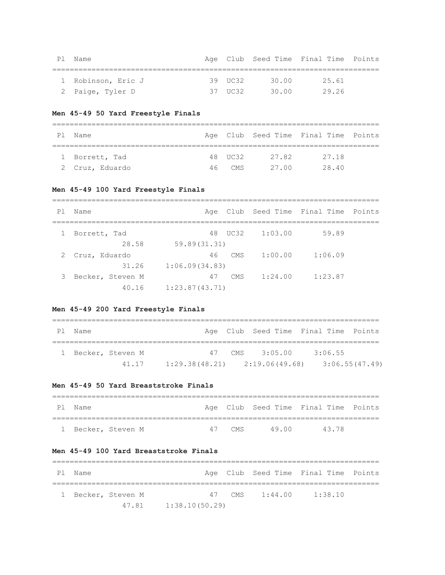| P 1 | Name               |         |       | Age Club Seed Time Final Time Points |  |
|-----|--------------------|---------|-------|--------------------------------------|--|
|     |                    |         |       |                                      |  |
|     | 1 Robinson, Eric J | 39 UC32 | 30.00 | 25.61                                |  |
|     | 2 Paige, Tyler D   | 37 UC32 | 30.00 | 29.26                                |  |

# **Men 45-49 50 Yard Freestyle Finals**

| P 1 | Name            |  |         |       | Age Club Seed Time Final Time Points |  |  |  |  |  |  |
|-----|-----------------|--|---------|-------|--------------------------------------|--|--|--|--|--|--|
|     |                 |  |         |       |                                      |  |  |  |  |  |  |
|     | 1 Borrett, Tad  |  | 48 UC32 | 2782  | 27.18                                |  |  |  |  |  |  |
|     | 2 Cruz, Eduardo |  | 46 CMS  | 27 NO | 28.40                                |  |  |  |  |  |  |

# **Men 45-49 100 Yard Freestyle Finals**

| P1           | Name             |                |         |         | Age Club Seed Time Final Time Points |  |
|--------------|------------------|----------------|---------|---------|--------------------------------------|--|
|              |                  |                |         |         |                                      |  |
| $\mathbf{1}$ | Borrett, Tad     |                | 48 UC32 | 1:03.00 | 59.89                                |  |
|              | 28.58            | 59.89(31.31)   |         |         |                                      |  |
|              | Cruz, Eduardo    | 46             | CMS     | 1:00.00 | 1:06.09                              |  |
|              | 31.26            | 1:06.09(34.83) |         |         |                                      |  |
| 3            | Becker, Steven M | 47             | CMS     | 1:24.00 | 1:23.87                              |  |
|              | 40.16            | 1:23.87(43.71) |         |         |                                      |  |

# **Men 45-49 200 Yard Freestyle Finals**

| P1 | Name |                    |                                   | Age Club Seed Time Final Time Points |         |                |
|----|------|--------------------|-----------------------------------|--------------------------------------|---------|----------------|
|    |      |                    |                                   |                                      |         |                |
|    |      | 1 Becker, Steven M |                                   | 47 CMS $3:05.00$                     | 3:06.55 |                |
|    |      | 41.17              | $1:29.38(48.21)$ $2:19.06(49.68)$ |                                      |         | 3:06.55(47.49) |

### **Men 45-49 50 Yard Breaststroke Finals**

| P1 | Name |                    |        |       | Age Club Seed Time Final Time Points |  |
|----|------|--------------------|--------|-------|--------------------------------------|--|
|    |      |                    |        |       |                                      |  |
|    |      | 1 Becker, Steven M | 47 CMS | 49 00 | 43 78                                |  |

### **Men 45-49 100 Yard Breaststroke Finals**

| P 1 | Name |                    |                |                | Age Club Seed Time Final Time Points |  |
|-----|------|--------------------|----------------|----------------|--------------------------------------|--|
|     |      | 1 Becker, Steven M |                | 47 CMS 1:44.00 | 1:38.10                              |  |
|     |      | 47.81              | 1:38.10(50.29) |                |                                      |  |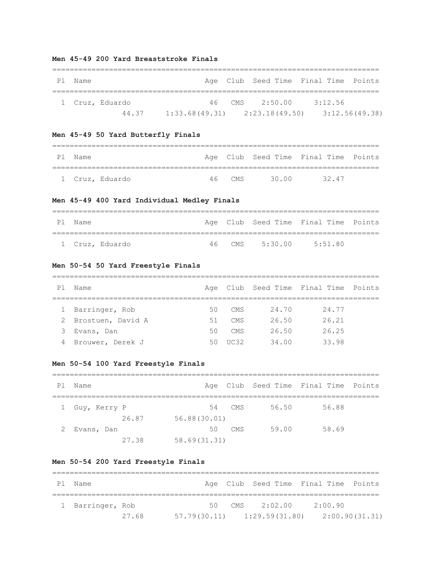### **Men 45-49 200 Yard Breaststroke Finals**

| P1 | . Name |                 |                                                    | Age Club Seed Time Final Time Points |         |  |
|----|--------|-----------------|----------------------------------------------------|--------------------------------------|---------|--|
|    |        | 1 Cruz, Eduardo |                                                    | 46 CMS 2:50.00                       | 3:12.56 |  |
|    |        | 4437            | $1:33.68(49.31)$ $2:23.18(49.50)$ $3:12.56(49.38)$ |                                      |         |  |

## **Men 45-49 50 Yard Butterfly Finals**

| Pl Name |                 |        |       | Age Club Seed Time Final Time Points |  |
|---------|-----------------|--------|-------|--------------------------------------|--|
|         |                 |        |       |                                      |  |
|         | 1 Cruz, Eduardo | 46 CMS | 30.00 | 32.47                                |  |

# **Men 45-49 400 Yard Individual Medley Finals**

| Pl Name |                 |  |                        | Age Club Seed Time Final Time Points |  |
|---------|-----------------|--|------------------------|--------------------------------------|--|
|         |                 |  |                        |                                      |  |
|         | 1 Cruz, Eduardo |  | 46 CMS 5:30.00 5:51.80 |                                      |  |

## **Men 50-54 50 Yard Freestyle Finals**

| Ρl | Name                |     |                 |       | Age Club Seed Time Final Time Points |  |  |  |  |
|----|---------------------|-----|-----------------|-------|--------------------------------------|--|--|--|--|
|    |                     |     |                 |       |                                      |  |  |  |  |
|    | 1 Barringer, Rob    | 50. | CMS             | 24.70 | 24.77                                |  |  |  |  |
|    | 2 Brostuen, David A | 51  | CMS             | 26.50 | 26.21                                |  |  |  |  |
| З  | Evans, Dan          | 50  | CMS             | 26.50 | 26.25                                |  |  |  |  |
| 4  | Brouwer, Derek J    | 50  | $\frac{11}{32}$ | 34.00 | 33.98                                |  |  |  |  |

### **Men 50-54 100 Yard Freestyle Finals**

| Ρl | Name           |       |              |        |       | Age Club Seed Time Final Time Points |  |
|----|----------------|-------|--------------|--------|-------|--------------------------------------|--|
|    | 1 Guy, Kerry P |       |              | 54 CMS | 56.50 | 56.88                                |  |
|    |                | 26.87 | 56.88(30.01) |        |       |                                      |  |
|    | Evans, Dan     |       |              | 50 CMS | 59.00 | 58.69                                |  |
|    |                | 27.38 | 58.69(31.31) |        |       |                                      |  |

## **Men 50-54 200 Yard Freestyle Finals**

| P1 | Name             |       |  |        | Age Club Seed Time Final Time Points |         |                |
|----|------------------|-------|--|--------|--------------------------------------|---------|----------------|
|    | 1 Barringer, Rob |       |  | 50 CMS | 2:02.00                              | 2:00.90 |                |
|    |                  | 27.68 |  |        | $57.79(30.11)$ $1:29.59(31.80)$      |         | 2:00.90(31.31) |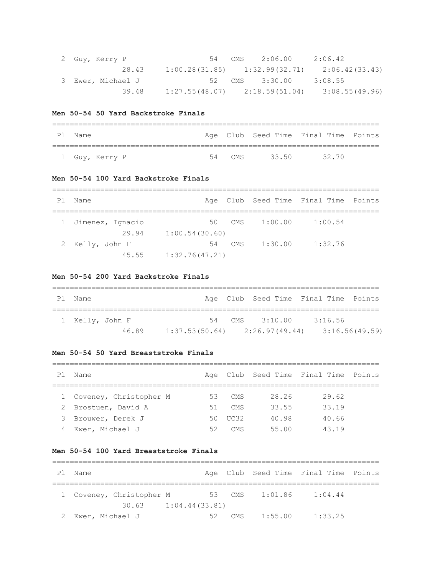| 2 Guy, Kerry P    | 2:06.00<br>54 CMS                 | 2:06.42        |
|-------------------|-----------------------------------|----------------|
| 28.43             | $1:00.28(31.85)$ $1:32.99(32.71)$ | 2:06.42(33.43) |
| 3 Ewer, Michael J | 52 CMS 3:30.00                    | 3:08.55        |
| 39.48             | $1:27.55(48.07)$ $2:18.59(51.04)$ | 3:08.55(49.96) |

### **Men 50-54 50 Yard Backstroke Finals**

| Pl Name        |  |        |       | Age Club Seed Time Final Time Points |  |  |  |  |  |
|----------------|--|--------|-------|--------------------------------------|--|--|--|--|--|
|                |  |        |       |                                      |  |  |  |  |  |
| 1 Guy, Kerry P |  | 54 CMS | 33 50 | 32 70                                |  |  |  |  |  |

## **Men 50-54 100 Yard Backstroke Finals**

| P1 | Name               |                |     |         | Age Club Seed Time Final Time Points |  |  |  |  |  |  |
|----|--------------------|----------------|-----|---------|--------------------------------------|--|--|--|--|--|--|
|    | 1 Jimenez, Ignacio | 50             | CMS | 1:00.00 | 1:00.54                              |  |  |  |  |  |  |
|    | 29.94              | 1:00.54(30.60) |     |         |                                      |  |  |  |  |  |  |
|    | 2 Kelly, John F    | 54             | CMS | 1:30.00 | 1:32.76                              |  |  |  |  |  |  |
|    | 45.55              | 1:32.76(47.21) |     |         |                                      |  |  |  |  |  |  |

# **Men 50-54 200 Yard Backstroke Finals**

| Pl Name |                 |                                   | Age Club Seed Time Final Time Points |         |                |
|---------|-----------------|-----------------------------------|--------------------------------------|---------|----------------|
|         | 1 Kelly, John F |                                   | 54 CMS 3:10.00                       | 3:16.56 |                |
|         | 46.89           | $1:37.53(50.64)$ $2:26.97(49.44)$ |                                      |         | 3:16.56(49.59) |

### **Men 50-54 50 Yard Breaststroke Finals**

| P 1          | Name                   |     |            |       | Age Club Seed Time Final Time Points |  |  |  |  |  |
|--------------|------------------------|-----|------------|-------|--------------------------------------|--|--|--|--|--|
|              |                        |     |            |       |                                      |  |  |  |  |  |
| $\mathbf{1}$ | Coveney, Christopher M | 53  | CMS        | 28.26 | 29.62                                |  |  |  |  |  |
|              | 2 Brostuen, David A    | 51  | <b>CMS</b> | 33 55 | 33.19                                |  |  |  |  |  |
|              | 3 Brouwer, Derek J     | 50. | TIC.32     | 40.98 | 40.66                                |  |  |  |  |  |
| 4            | Ewer, Michael J        | 52  | CMS.       | 55.00 | 43 19                                |  |  |  |  |  |

### **Men 50-54 100 Yard Breaststroke Finals**

| P1 | Name            |                          |                |     |      |                | Age Club Seed Time Final Time Points |  |  |  |  |
|----|-----------------|--------------------------|----------------|-----|------|----------------|--------------------------------------|--|--|--|--|
|    |                 | 1 Coveney, Christopher M |                |     |      | 53 CMS 1:01.86 | 1:04.44                              |  |  |  |  |
|    |                 | 30.63                    | 1:04.44(33.81) |     |      |                |                                      |  |  |  |  |
|    | Ewer, Michael J |                          |                | 52. | CMS. | 1:55.00        | 1:33.25                              |  |  |  |  |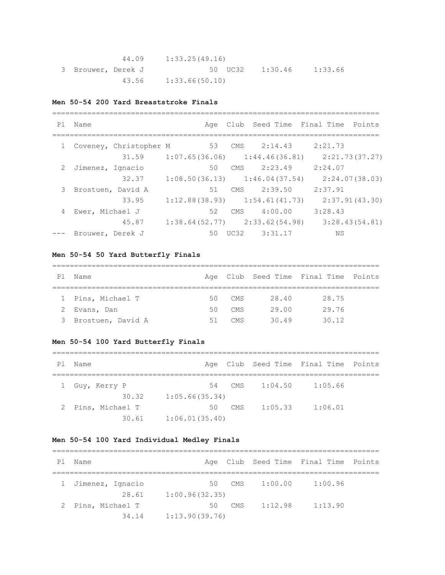|                    | 44.09 | 1:33.25(49.16)       |                 |         |
|--------------------|-------|----------------------|-----------------|---------|
| 3 Brouwer, Derek J |       |                      | 50 UC32 1:30.46 | 1:33.66 |
|                    |       | 43.56 1:33.66(50.10) |                 |         |

### **Men 50-54 200 Yard Breaststroke Finals**

| P1             | Name                |                          |    |     |                                   | Age Club Seed Time Final Time Points |
|----------------|---------------------|--------------------------|----|-----|-----------------------------------|--------------------------------------|
|                |                     | 1 Coveney, Christopher M | 53 | CMS | 2:14.43                           | 2:21.73                              |
|                |                     | 31.59                    |    |     | $1:07.65(36.06)$ $1:44.46(36.81)$ | 2:21.73(37.27)                       |
|                | 2 Jimenez, Ignacio  |                          | 50 |     | CMS 2:23.49                       | 2:24.07                              |
|                |                     | 32.37                    |    |     | $1:08.50(36.13)$ $1:46.04(37.54)$ | 2:24.07(38.03)                       |
|                | 3 Brostuen, David A |                          | 51 | CMS | 2:39.50                           | 2:37.91                              |
|                |                     | 33.95                    |    |     | $1:12.88(38.93)$ $1:54.61(41.73)$ | 2:37.91(43.30)                       |
| $\overline{4}$ | Ewer, Michael J     |                          | 52 | CMS | 4:00.00                           | 3:28.43                              |
|                |                     | 45.87                    |    |     | $1:38.64(52.77)$ $2:33.62(54.98)$ | 3:28.43(54.81)                       |
|                | Brouwer, Derek J    |                          |    |     | 50 UC32 3:31.17                   | ΝS                                   |

### **Men 50-54 50 Yard Butterfly Finals**

# =========================================================================== Pl Name **Age Club Seed Time Final Time Points** =========================================================================== 1 Pins, Michael T 50 CMS 28.40 28.75 2 Evans, Dan 50 CMS 29.00 29.76 3 Brostuen, David A 51 CMS 30.49 30.12

### **Men 50-54 100 Yard Butterfly Finals**

=========================================================================== Pl Name  $A$ ge Club Seed Time Final Time Points =========================================================================== 1 Guy, Kerry P 54 CMS 1:04.50 1:05.66 30.32 1:05.66(35.34) 2 Pins, Michael T 50 CMS 1:05.33 1:06.01 30.61 1:06.01(35.40)

### **Men 50-54 100 Yard Individual Medley Finals**

| P1 | Name               |                |     |         | Age Club Seed Time Final Time Points |  |  |  |  |  |  |
|----|--------------------|----------------|-----|---------|--------------------------------------|--|--|--|--|--|--|
|    |                    |                |     |         |                                      |  |  |  |  |  |  |
|    | 1 Jimenez, Ignacio | 50             | CMS | 1:00.00 | 1:00.96                              |  |  |  |  |  |  |
|    | 28.61              | 1:00.96(32.35) |     |         |                                      |  |  |  |  |  |  |
|    | 2 Pins, Michael T  | 50             | CMS | 1:12.98 | 1:13.90                              |  |  |  |  |  |  |
|    | 34.14              | 1:13.90(39.76) |     |         |                                      |  |  |  |  |  |  |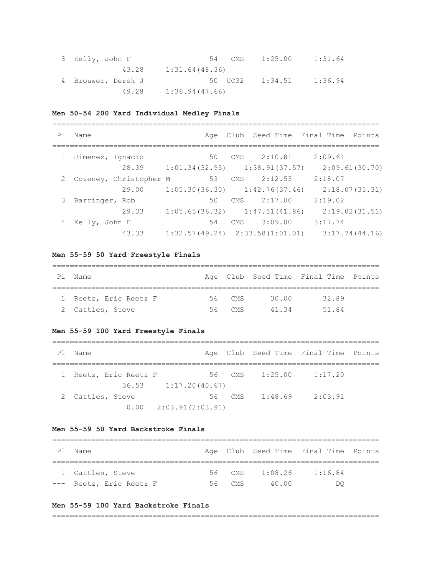| 3 Kelly, John F    | 54 CMS         | 1:25.00 | 1:31.64 |
|--------------------|----------------|---------|---------|
| 43.28              | 1:31.64(48.36) |         |         |
| 4 Brouwer, Derek J | 50 UC32        | 1:34.51 | 1:36.94 |
| 49.28              | 1:36.94(47.66) |         |         |

# **Men 50-54 200 Yard Individual Medley Finals**

| P1 | Name                     |    |                                     | Age Club Seed Time Final Time Points               |
|----|--------------------------|----|-------------------------------------|----------------------------------------------------|
|    |                          |    |                                     |                                                    |
|    | 1 Jimenez, Ignacio       | 50 | CMS 2:10.81                         | 2:09.61                                            |
|    | 28.39                    |    |                                     | $1:01.34(32.95)$ $1:38.91(37.57)$ $2:09.61(30.70)$ |
|    | 2 Coveney, Christopher M | 53 | 2:12.55<br>CMS                      | 2:18.07                                            |
|    | 29.00                    |    | $1:05.30(36.30)$ $1:42.76(37.46)$   | 2:18.07(35.31)                                     |
|    | 3 Barringer, Rob         | 50 | 2:17.00<br>CMS                      | 2:19.02                                            |
|    | 29.33                    |    | $1:05.65(36.32)$ $1:47.51(41.86)$   | 2:19.02(31.51)                                     |
|    | 4 Kelly, John F          | 54 | 3:09.00<br>CMS                      | 3:17.74                                            |
|    | 43.33                    |    | $1:32.57(49.24)$ $2:33.58(1:01.01)$ | 3:17.74(44.16)                                     |

## **Men 55-59 50 Yard Freestyle Finals**

| Ρl | Name                  |  |        |       | Age Club Seed Time Final Time Points |  |  |  |  |
|----|-----------------------|--|--------|-------|--------------------------------------|--|--|--|--|
|    |                       |  |        |       |                                      |  |  |  |  |
|    | 1 Reetz, Eric Reetz F |  | 56 CMS | 30.00 | 32.89                                |  |  |  |  |
|    | 2 Cattles, Steve      |  | 56 CMS | 41 34 | 51.84                                |  |  |  |  |

## **Men 55-59 100 Yard Freestyle Finals**

| P1 | Name                |                                |        |                | Age Club Seed Time Final Time Points |  |
|----|---------------------|--------------------------------|--------|----------------|--------------------------------------|--|
|    |                     |                                |        |                |                                      |  |
|    | Reetz, Eric Reetz F |                                |        | 56 CMS 1:25.00 | 1:17.20                              |  |
|    | 36.53               | 1:17.20(40.67)                 |        |                |                                      |  |
|    | 2 Cattles, Steve    |                                | 56 CMS | 1:48.69        | 2:03.91                              |  |
|    |                     | $0.00 \qquad 2:03.91(2:03.91)$ |        |                |                                      |  |

# **Men 55-59 50 Yard Backstroke Finals**

| P1 | Name                    |  |        |         | Age Club Seed Time Final Time Points |  |  |  |  |  |
|----|-------------------------|--|--------|---------|--------------------------------------|--|--|--|--|--|
|    |                         |  |        |         |                                      |  |  |  |  |  |
|    | 1 Cattles, Steve        |  | 56 CMS | 1:08.26 | 1:16.84                              |  |  |  |  |  |
|    | --- Reetz, Eric Reetz F |  | 56 CMS | 40 00   | DΟ                                   |  |  |  |  |  |

### **Men 55-59 100 Yard Backstroke Finals**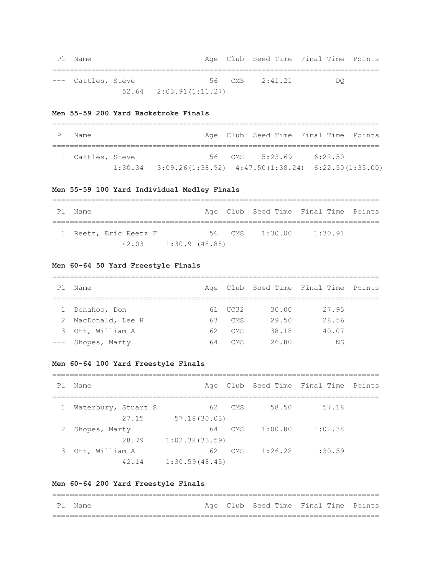Pl Name **Age Club Seed Time Final Time Points** =========================================================================== --- Cattles, Steve 56 CMS 2:41.21 DQ 52.64 2:03.91(1:11.27)

### **Men 55-59 200 Yard Backstroke Finals**

| Pl Name          |                                                                    |  |                | Age Club Seed Time Final Time Points |         |  |
|------------------|--------------------------------------------------------------------|--|----------------|--------------------------------------|---------|--|
| 1 Cattles, Steve |                                                                    |  | 56 CMS 5:23.69 |                                      | 6:22.50 |  |
|                  | $1:30.34$ $3:09.26(1:38.92)$ $4:47.50(1:38.24)$ $6:22.50(1:35.00)$ |  |                |                                      |         |  |

### **Men 55-59 100 Yard Individual Medley Finals**

|              | Pl Name |                     |                |        |         | Age Club Seed Time Final Time Points |  |  |  |
|--------------|---------|---------------------|----------------|--------|---------|--------------------------------------|--|--|--|
| $\mathbb{R}$ |         | Reetz, Eric Reetz F |                | 56 CMS | 1:30.00 | 1:30.91                              |  |  |  |
|              |         | 42.03               | 1:30.91(48.88) |        |         |                                      |  |  |  |

### **Men 60-64 50 Yard Freestyle Finals**

| Ρl | Name               |    |            |       | Age Club Seed Time Final Time Points |  |  |  |  |
|----|--------------------|----|------------|-------|--------------------------------------|--|--|--|--|
|    |                    |    |            |       |                                      |  |  |  |  |
|    | Donahoo, Don       |    | 61 UC32    | 30.00 | 27.95                                |  |  |  |  |
|    | 2 MacDonald, Lee H | 63 | CMS        | 29.50 | 28.56                                |  |  |  |  |
|    | 3 Ott, William A   | 62 | <b>CMS</b> | 38.18 | 40.07                                |  |  |  |  |
|    | --- Shopes, Marty  | 64 | <b>CMS</b> | 26.80 | ΝS                                   |  |  |  |  |

### **Men 60-64 100 Yard Freestyle Finals**

=========================================================================== Pl Name **Age Club Seed Time Final Time Points** =========================================================================== 1 Waterbury, Stuart S 62 CMS 58.50 57.18 27.15 57.18(30.03) 2 Shopes, Marty 64 CMS 1:00.80 1:02.38 28.79 1:02.38(33.59) 3 Ott, William A 62 CMS 1:26.22 1:30.59 42.14 1:30.59(48.45)

### **Men 60-64 200 Yard Freestyle Finals**

| Pl Name |  | Age Club Seed Time Final Time Points |  |
|---------|--|--------------------------------------|--|
|         |  |                                      |  |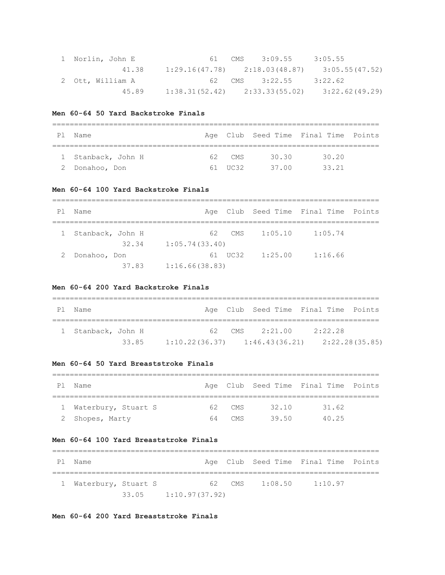| 1 Norlin, John E | 61 - | CMS 3:09.55    | 3:05.55                                            |
|------------------|------|----------------|----------------------------------------------------|
| 41.38            |      |                | $1:29.16(47.78)$ $2:18.03(48.87)$ $3:05.55(47.52)$ |
| 2 Ott, William A |      | 62 CMS 3:22.55 | 3:22.62                                            |
| 45.89            |      |                | $1:38.31(52.42)$ $2:33.33(55.02)$ $3:22.62(49.29)$ |

### **Men 60-64 50 Yard Backstroke Finals**

| ΡI | Name               |  |         |       | Age Club Seed Time Final Time Points |  |  |  |  |
|----|--------------------|--|---------|-------|--------------------------------------|--|--|--|--|
|    |                    |  |         |       |                                      |  |  |  |  |
|    | 1 Stanback, John H |  | 62 CMS  | 30.30 | 30.20                                |  |  |  |  |
|    | 2 Donahoo, Don     |  | 61 UC32 | 37 NO | 33.21                                |  |  |  |  |

### **Men 60-64 100 Yard Backstroke Finals**

| P1 | Name               |                |         |         | Age Club Seed Time Final Time Points |  |  |  |  |
|----|--------------------|----------------|---------|---------|--------------------------------------|--|--|--|--|
|    | 1 Stanback, John H | 62             | CMS     | 1:05.10 | 1:05.74                              |  |  |  |  |
|    | 32.34              | 1:05.74(33.40) |         |         |                                      |  |  |  |  |
|    | Donahoo, Don       |                | 61 UC32 | 1:25.00 | 1:16.66                              |  |  |  |  |
|    | 37.83              | 1:16.66(38.83) |         |         |                                      |  |  |  |  |

## **Men 60-64 200 Yard Backstroke Finals**

| P 1 | Name               |       |                                   |        | Age Club Seed Time Final Time Points |         |         |                |
|-----|--------------------|-------|-----------------------------------|--------|--------------------------------------|---------|---------|----------------|
|     | 1 Stanback, John H |       |                                   | 62 CMS |                                      | 2:21.00 | 2:22.28 |                |
|     |                    | 33.85 | $1:10.22(36.37)$ $1:46.43(36.21)$ |        |                                      |         |         | 2:22.28(35.85) |

## **Men 60-64 50 Yard Breaststroke Finals**

| Ρl           | Name                |    |        |       | Age Club Seed Time Final Time Points |  |
|--------------|---------------------|----|--------|-------|--------------------------------------|--|
|              |                     |    |        |       |                                      |  |
| $\mathbf{1}$ | Waterbury, Stuart S |    | 62 CMS | 32.10 | 31.62                                |  |
|              | 2 Shopes, Marty     | 64 | CMS    | 39.50 | 40.25                                |  |

# **Men 60-64 100 Yard Breaststroke Finals**

| P1 | Name                  |       |                |        |         | Age Club Seed Time Final Time Points |  |
|----|-----------------------|-------|----------------|--------|---------|--------------------------------------|--|
|    |                       |       |                |        |         |                                      |  |
|    | 1 Waterbury, Stuart S |       |                | 62 CMS | 1:08.50 | 1:10.97                              |  |
|    |                       | 33.05 | 1:10.97(37.92) |        |         |                                      |  |

**Men 60-64 200 Yard Breaststroke Finals**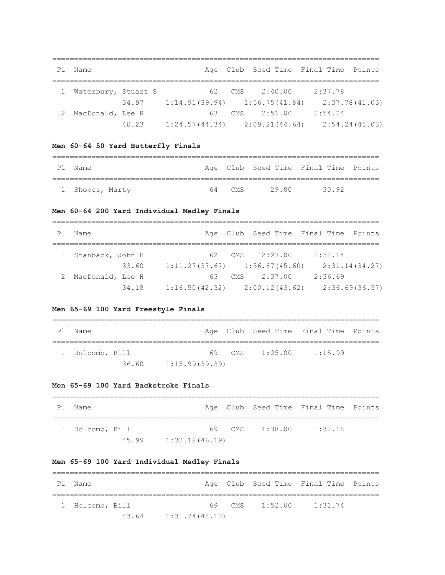| P1 | Name                |       |    |      | Age Club Seed Time Final Time Points |         |                |
|----|---------------------|-------|----|------|--------------------------------------|---------|----------------|
|    |                     |       | 62 | CMS  | 2:40.00                              | 2:37.78 |                |
|    | Waterbury, Stuart S |       |    |      |                                      |         |                |
|    |                     | 34.97 |    |      | $1:14.91(39.94)$ $1:56.75(41.84)$    |         | 2:37.78(41.03) |
|    | 2 MacDonald, Lee H  |       | 63 | CMS. | 2:51.00                              | 2:54.24 |                |
|    |                     | 40.23 |    |      | $1:24.57(44.34)$ $2:09.21(44.64)$    |         | 2:54.24(45.03) |

# **Men 60-64 50 Yard Butterfly Finals**

| P1 | Name            |    |       |      | Age Club Seed Time Final Time Points |  |
|----|-----------------|----|-------|------|--------------------------------------|--|
|    |                 |    |       |      |                                      |  |
|    | 1 Shopes, Marty | 64 | " CMS | 2980 | 30.92                                |  |

# **Men 60-64 200 Yard Individual Medley Finals**

| Ρl | Name               |       |     |     | Age Club Seed Time Final Time Points |         |                |
|----|--------------------|-------|-----|-----|--------------------------------------|---------|----------------|
|    |                    |       |     |     |                                      |         |                |
|    | Stanback, John H   |       | 62. | CMS | 2:27.00                              | 2:31.14 |                |
|    |                    | 33.60 |     |     | $1:11.27(37.67)$ $1:56.87(45.60)$    |         | 2:31.14(34.27) |
|    | 2 MacDonald, Lee H |       | 63  | CMS | 2:37.00                              | 2:36.69 |                |
|    |                    | 34.18 |     |     | $1:16.50(42.32)$ $2:00.12(43.62)$    |         | 2:36.69(36.57) |

# **Men 65-69 100 Yard Freestyle Finals**

| Pl Name         |       |                |                | Age Club Seed Time Final Time Points |  |
|-----------------|-------|----------------|----------------|--------------------------------------|--|
|                 |       |                |                |                                      |  |
| 1 Holcomb, Bill |       |                | 69 CMS 1:25.00 | 1:15.99                              |  |
|                 | 36.60 | 1:15.99(39.39) |                |                                      |  |

## **Men 65-69 100 Yard Backstroke Finals**

| P 1 | Name          |       |                |                | Age Club Seed Time Final Time Points |  |
|-----|---------------|-------|----------------|----------------|--------------------------------------|--|
|     | Holcomb, Bill |       |                | 69 CMS 1:38.00 | 1:32.18                              |  |
|     |               | 45.99 | 1:32.18(46.19) |                |                                      |  |

# **Men 65-69 100 Yard Individual Medley Finals**

| Pl Name         |       |                |  | Age Club Seed Time Final Time Points |  |
|-----------------|-------|----------------|--|--------------------------------------|--|
|                 |       |                |  |                                      |  |
| 1 Holcomb, Bill |       |                |  | 69 CMS 1:52.00 1:31.74               |  |
|                 | 43.64 | 1:31.74(48.10) |  |                                      |  |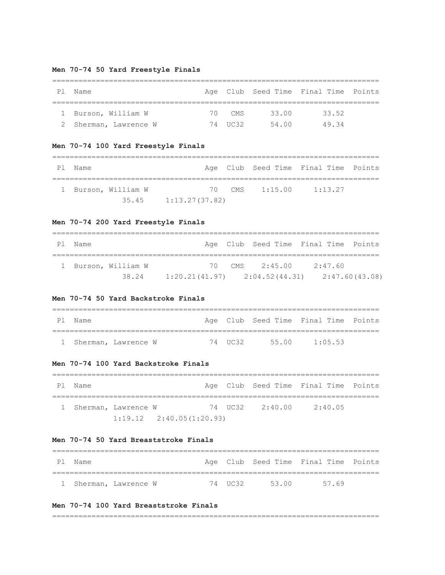## **Men 70-74 50 Yard Freestyle Finals**

| Name                  |         |       | Age Club Seed Time Final Time Points |  |
|-----------------------|---------|-------|--------------------------------------|--|
|                       |         |       |                                      |  |
| 1 Burson, William W   | 70 CMS  | 33.00 | 33.52                                |  |
| 2 Sherman, Lawrence W | 74 UC32 | 54 00 | 49 34                                |  |

## **Men 70-74 100 Yard Freestyle Finals**

| Pl Name |                     |                          |  | Age Club Seed Time Final Time Points |  |
|---------|---------------------|--------------------------|--|--------------------------------------|--|
|         |                     |                          |  |                                      |  |
|         | 1 Burson, William W |                          |  | 70 CMS 1:15.00 1:13.27               |  |
|         |                     | $35.45$ $1:13.27(37.82)$ |  |                                      |  |

## **Men 70-74 200 Yard Freestyle Finals**

| Pl Name |                     |                                   | Age Club Seed Time Final Time Points |         |                |
|---------|---------------------|-----------------------------------|--------------------------------------|---------|----------------|
|         |                     |                                   |                                      |         |                |
|         | 1 Burson, William W |                                   | 70 CMS 2:45.00                       | 2:47.60 |                |
|         | 38.24               | $1:20.21(41.97)$ $2:04.52(44.31)$ |                                      |         | 2:47.60(43.08) |

### **Men 70-74 50 Yard Backstroke Finals**

| PI | Name                  |  |          |       | Age Club Seed Time Final Time Points |  |  |  |  |  |
|----|-----------------------|--|----------|-------|--------------------------------------|--|--|--|--|--|
|    |                       |  |          |       |                                      |  |  |  |  |  |
|    | 1 Sherman, Lawrence W |  | 74 IIC32 | 55 00 | 1:05.53                              |  |  |  |  |  |

# **Men 70-74 100 Yard Backstroke Finals**

| P1 | Name |                       |                              |  |                 | Age Club Seed Time Final Time Points |  |  |  |
|----|------|-----------------------|------------------------------|--|-----------------|--------------------------------------|--|--|--|
|    |      |                       |                              |  |                 |                                      |  |  |  |
|    |      | 1 Sherman, Lawrence W |                              |  | 74 UC32 2:40.00 | 2:40.05                              |  |  |  |
|    |      |                       | $1:19.12$ $2:40.05(1:20.93)$ |  |                 |                                      |  |  |  |

# **Men 70-74 50 Yard Breaststroke Finals**

| Pl Name               |  |         |      | Age Club Seed Time Final Time Points |  |  |  |  |  |
|-----------------------|--|---------|------|--------------------------------------|--|--|--|--|--|
|                       |  |         |      |                                      |  |  |  |  |  |
| 1 Sherman, Lawrence W |  | 74 UC32 | 5300 | 57 69                                |  |  |  |  |  |

## **Men 70-74 100 Yard Breaststroke Finals**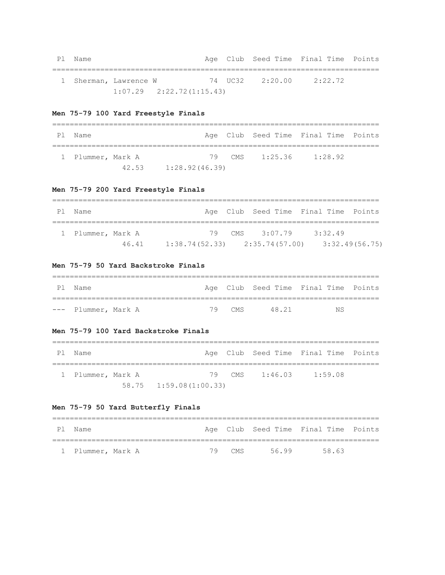Pl Name Age Club Seed Time Final Time Points =========================================================================== 1 Sherman, Lawrence W 74 UC32 2:20.00 2:22.72 1:07.29 2:22.72(1:15.43)

### **Men 75-79 100 Yard Freestyle Finals**

=========================================================================== Pl Name **Age Club Seed Time Final Time Points** =========================================================================== 1 Plummer, Mark A 79 CMS 1:25.36 1:28.92 42.53 1:28.92(46.39)

### **Men 75-79 200 Yard Freestyle Finals**

| Pl Name           |       |                                                    | Age Club Seed Time Final Time Points |         |  |
|-------------------|-------|----------------------------------------------------|--------------------------------------|---------|--|
| 1 Plummer, Mark A |       |                                                    | 79 CMS 3:07.79                       | 3:32.49 |  |
|                   | 46.41 | $1:38.74(52.33)$ $2:35.74(57.00)$ $3:32.49(56.75)$ |                                      |         |  |

### **Men 75-79 50 Yard Backstroke Finals**

| P 1 | Name                |  |        |       | Age Club Seed Time Final Time Points |  |  |  |  |  |
|-----|---------------------|--|--------|-------|--------------------------------------|--|--|--|--|--|
|     |                     |  |        |       |                                      |  |  |  |  |  |
|     | --- Plummer, Mark A |  | 79 CMS | 48 21 | NS.                                  |  |  |  |  |  |

### **Men 75-79 100 Yard Backstroke Finals**

| P 1 | Name              |                            |                | Age Club Seed Time Final Time Points |  |
|-----|-------------------|----------------------------|----------------|--------------------------------------|--|
|     | 1 Plummer, Mark A |                            | 79 CMS 1:46.03 | 1:59.08                              |  |
|     |                   | $58.75$ $1:59.08(1:00.33)$ |                |                                      |  |

### **Men 75-79 50 Yard Butterfly Finals**

| P1 | l Name            |        |      | Age Club Seed Time Final Time Points |  |
|----|-------------------|--------|------|--------------------------------------|--|
|    |                   |        |      |                                      |  |
|    | 1 Plummer, Mark A | 79 CMS | 5699 | 58 63                                |  |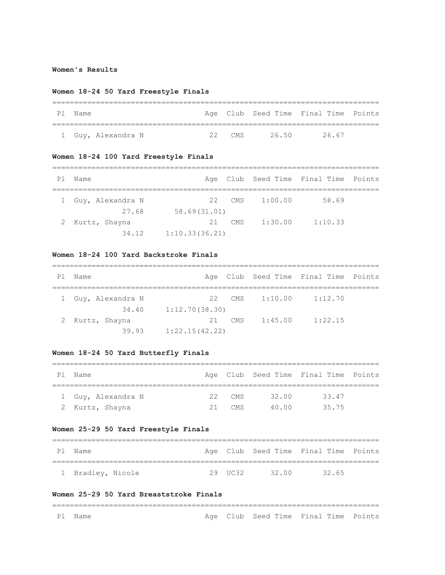### **Women's Results**

### **Women 18-24 50 Yard Freestyle Finals**

| P 1 | Name               |  |          |      | Age Club Seed Time Final Time Points |  |  |  |  |  |
|-----|--------------------|--|----------|------|--------------------------------------|--|--|--|--|--|
|     |                    |  |          |      |                                      |  |  |  |  |  |
|     | 1 Guy, Alexandra N |  | 22 $CMS$ | 2650 | 2667                                 |  |  |  |  |  |

### **Women 18-24 100 Yard Freestyle Finals**

=========================================================================== Pl Name **Age Club Seed Time Final Time Points** =========================================================================== 1 Guy, Alexandra N 22 CMS 1:00.00 58.69 27.68 58.69(31.01) 2 Kurtz, Shayna 21 CMS 1:30.00 1:10.33 34.12 1:10.33(36.21)

### **Women 18-24 100 Yard Backstroke Finals**

=========================================================================== Pl Name **Age Club Seed Time Final Time Points** =========================================================================== 1 Guy, Alexandra N 22 CMS 1:10.00 1:12.70 34.40 1:12.70(38.30) 2 Kurtz, Shayna 21 CMS 1:45.00 1:22.15 39.93 1:22.15(42.22)

### **Women 18-24 50 Yard Butterfly Finals**

| Ρl | Name               |  |        |       | Age Club Seed Time Final Time Points |  |  |  |  |  |
|----|--------------------|--|--------|-------|--------------------------------------|--|--|--|--|--|
|    |                    |  |        |       |                                      |  |  |  |  |  |
|    | 1 Guy, Alexandra N |  | 22 CMS | 32.00 | 33.47                                |  |  |  |  |  |
|    | Kurtz, Shayna      |  | CMS.   | 40 NO | 35 75                                |  |  |  |  |  |

### **Women 25-29 50 Yard Freestyle Finals**

| P 1 | Name              |  |          |       | Age Club Seed Time Final Time Points |  |  |  |  |  |
|-----|-------------------|--|----------|-------|--------------------------------------|--|--|--|--|--|
|     |                   |  |          |       |                                      |  |  |  |  |  |
|     | 1 Bradley, Nicole |  | 29 TIC32 | 32 00 | 32 65                                |  |  |  |  |  |

### **Women 25-29 50 Yard Breaststroke Finals**

# =========================================================================== Pl Name **Age Club Seed Time Final Time Points**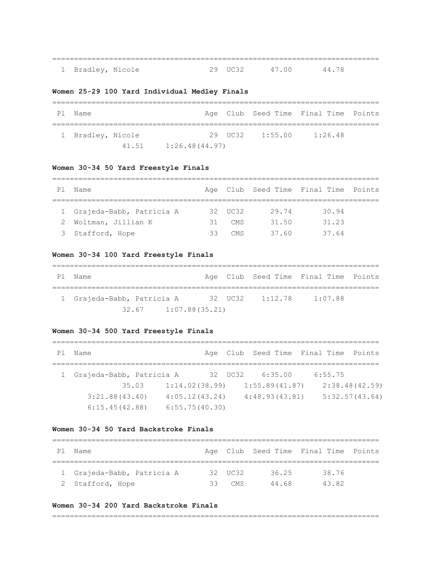|                   |  |           |       | ___   |
|-------------------|--|-----------|-------|-------|
| 1 Bradley, Nicole |  | 79 TIMR'2 | 47.00 | 44 78 |

## **Women 25-29 100 Yard Individual Medley Finals**

| P1 | Name              |       |                |                        | Age Club Seed Time Final Time Points |  |
|----|-------------------|-------|----------------|------------------------|--------------------------------------|--|
|    | 1 Bradley, Nicole |       |                | $29$ $11C32$ $1:55.00$ | 1:26.48                              |  |
|    |                   | 41.51 | 1:26.48(44.97) |                        |                                      |  |

## **Women 30-34 50 Yard Freestyle Finals**

| ΡI | Name                       |     |         |       | Age Club Seed Time Final Time Points |  |  |  |  |  |
|----|----------------------------|-----|---------|-------|--------------------------------------|--|--|--|--|--|
|    |                            |     |         |       |                                      |  |  |  |  |  |
|    | 1 Grajeda-Babb, Patricia A |     | 32 UC32 | 29.74 | 30.94                                |  |  |  |  |  |
|    | 2 Woltman, Jillian K       | 31. | CMS     | 31.50 | 31.23                                |  |  |  |  |  |
| 3. | Stafford, Hope             | ろろ  | CMS.    | 37.60 | 37.64                                |  |  |  |  |  |

### **Women 30-34 100 Yard Freestyle Finals**

| P1 | Name                       |  |  |                 | Age Club Seed Time Final Time Points |  |  |  |  |
|----|----------------------------|--|--|-----------------|--------------------------------------|--|--|--|--|
|    | 1 Grajeda-Babb, Patricia A |  |  | 32 UC32 1:12.78 | 1:07.88                              |  |  |  |  |
|    | $32.67$ 1:07.88(35.21)     |  |  |                 |                                      |  |  |  |  |

## **Women 30-34 500 Yard Freestyle Finals**

| P1 | Name                     |                |         |                | Age Club Seed Time Final Time Points |                |
|----|--------------------------|----------------|---------|----------------|--------------------------------------|----------------|
|    | Grajeda-Babb, Patricia A |                | 32 UC32 | 6:35.00        | 6:55.75                              |                |
|    | 35.03                    | 1:14.02(38.99) |         | 1:55.89(41.87) |                                      | 2:38.48(42.59) |
|    | 3:21.88(43.40)           | 4:05.12(43.24) |         | 4:48.93(43.81) |                                      | 5:32.57(43.64) |
|    | 6:15.45(42.88)           | 6:55.75(40.30) |         |                |                                      |                |

### **Women 30-34 50 Yard Backstroke Finals**

| P I | Name                       |    |         |       | Age Club Seed Time Final Time Points |  |  |  |  |  |
|-----|----------------------------|----|---------|-------|--------------------------------------|--|--|--|--|--|
|     |                            |    |         |       |                                      |  |  |  |  |  |
|     | 1 Grajeda-Babb, Patricia A |    | 32 UC32 | 36.25 | 38.76                                |  |  |  |  |  |
|     | 2 Stafford, Hope           | 33 | CMS     | 44 68 | 43.82                                |  |  |  |  |  |

## **Women 30-34 200 Yard Backstroke Finals**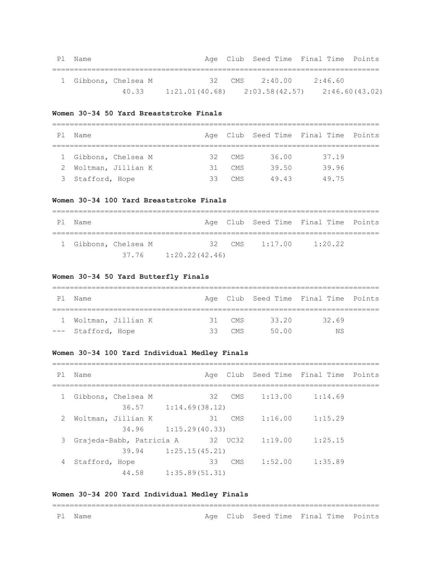| Pl Name |                      |                                                    | Age Club Seed Time Final Time Points |         |  |
|---------|----------------------|----------------------------------------------------|--------------------------------------|---------|--|
|         |                      |                                                    |                                      |         |  |
|         | 1 Gibbons, Chelsea M |                                                    | 32 CMS 2:40.00                       | 2:46.60 |  |
|         | 40.33                | $1:21.01(40.68)$ $2:03.58(42.57)$ $2:46.60(43.02)$ |                                      |         |  |

### **Women 30-34 50 Yard Breaststroke Finals**

| Ρl | Name                 |     |     |       | Age Club Seed Time Final Time Points |  |  |  |  |  |
|----|----------------------|-----|-----|-------|--------------------------------------|--|--|--|--|--|
|    |                      |     |     |       |                                      |  |  |  |  |  |
|    | 1 Gibbons, Chelsea M | 32. | CMS | 36.00 | 37.19                                |  |  |  |  |  |
|    | 2 Woltman, Jillian K | 31  | CMS | 39.50 | 39.96                                |  |  |  |  |  |
|    | 3 Stafford, Hope     | ろろ  | CMS | 49.43 | 49 75                                |  |  |  |  |  |

## **Women 30-34 100 Yard Breaststroke Finals**

| P1 | Name |                      |                          |  |                | Age Club Seed Time Final Time Points |  |  |  |
|----|------|----------------------|--------------------------|--|----------------|--------------------------------------|--|--|--|
|    |      | 1 Gibbons, Chelsea M |                          |  | 32 CMS 1:17.00 | 1:20.22                              |  |  |  |
|    |      |                      | $37.76$ $1:20.22(42.46)$ |  |                |                                      |  |  |  |

## **Women 30-34 50 Yard Butterfly Finals**

| ΡI | Name                 |    |          |       | Age Club Seed Time Final Time Points |  |  |  |  |
|----|----------------------|----|----------|-------|--------------------------------------|--|--|--|--|
|    |                      |    |          |       |                                      |  |  |  |  |
|    | 1 Woltman, Jillian K |    | $31$ CMS | 33.20 | 32.69                                |  |  |  |  |
|    | --- Stafford, Hope   | ろろ | CMS      | 50.00 | ΝS                                   |  |  |  |  |

## **Women 30-34 100 Yard Individual Medley Finals**

| P1 | Name                     |                |         |         | Age Club Seed Time Final Time Points |  |
|----|--------------------------|----------------|---------|---------|--------------------------------------|--|
|    | Gibbons, Chelsea M       | 32             | CMS     | 1:13.00 | 1:14.69                              |  |
|    | 36.57                    | 1:14.69(38.12) |         |         |                                      |  |
| 2  | Woltman, Jillian K       | 31             | CMS     | 1:16.00 | 1:15.29                              |  |
|    | 34.96                    | 1:15.29(40.33) |         |         |                                      |  |
| 3  | Grajeda-Babb, Patricia A |                | 32 UC32 | 1:19.00 | 1:25.15                              |  |
|    | 39.94                    | 1:25.15(45.21) |         |         |                                      |  |
| 4  | Stafford, Hope           | 33             | CMS     | 1:52.00 | 1:35.89                              |  |
|    | 44.58                    | 1:35.89(51.31) |         |         |                                      |  |

## **Women 30-34 200 Yard Individual Medley Finals**

# ===========================================================================

Pl Name **Age Club Seed Time Final Time Points**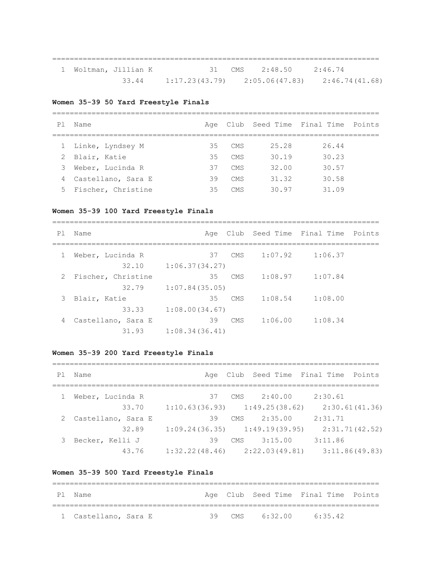| 1 Woltman, Jillian K | 31 CMS 2:48.50 2:46.74                             |  |
|----------------------|----------------------------------------------------|--|
| 33.44                | $1:17.23(43.79)$ $2:05.06(47.83)$ $2:46.74(41.68)$ |  |

===========================================================================

## **Women 35-39 50 Yard Freestyle Finals**

===========================================================================

| P1 | Name                 |    |            |       | Age Club Seed Time Final Time Points |  |
|----|----------------------|----|------------|-------|--------------------------------------|--|
|    | 1 Linke, Lyndsey M   | 35 | <b>CMS</b> | 25.28 | 26.44                                |  |
|    | 2 Blair, Katie       | 35 | <b>CMS</b> | 30.19 | 30.23                                |  |
| 3  | Weber, Lucinda R     | 37 | <b>CMS</b> | 32.00 | 30.57                                |  |
|    | 4 Castellano, Sara E | 39 | <b>CMS</b> | 31.32 | 30.58                                |  |
|    | 5 Fischer, Christine | 35 | CMS        | 30.97 | 31.09                                |  |

# **Women 35-39 100 Yard Freestyle Finals**

===========================================================================

| P1 | Name               | Age            |            |         | Club Seed Time Final Time Points |  |
|----|--------------------|----------------|------------|---------|----------------------------------|--|
|    |                    |                |            |         |                                  |  |
|    | Weber, Lucinda R   | 37             | <b>CMS</b> | 1:07.92 | 1:06.37                          |  |
|    | 32.10              | 1:06.37(34.27) |            |         |                                  |  |
| 2  | Fischer, Christine | 35             | CMS        | 1:08.97 | 1:07.84                          |  |
|    | 32.79              | 1:07.84(35.05) |            |         |                                  |  |
| 3  | Blair, Katie       | 35             | CMS        | 1:08.54 | 1:08.00                          |  |
|    | 33.33              | 1:08.00(34.67) |            |         |                                  |  |
| 4  | Castellano, Sara E | 39             | <b>CMS</b> | 1:06.00 | 1:08.34                          |  |
|    | 31.93              | 1:08.34(36.41) |            |         |                                  |  |

## **Women 35-39 200 Yard Freestyle Finals**

| P1 | Name                 | Aae |                                   | Club Seed Time Final Time Points |
|----|----------------------|-----|-----------------------------------|----------------------------------|
|    | Weber, Lucinda R     | 37  | 2:40.00<br>CMS                    | 2:30.61                          |
|    | 33.70                |     | $1:10.63(36.93)$ $1:49.25(38.62)$ | 2:30.61(41.36)                   |
|    | 2 Castellano, Sara E | 39  | 2:35.00<br>CMS                    | 2:31.71                          |
|    | 32.89                |     | $1:09.24(36.35)$ $1:49.19(39.95)$ | 2:31.71(42.52)                   |
|    | Becker, Kelli J      | 39  | 3:15.00<br>CMS                    | 3:11.86                          |
|    | 43.76                |     | $1:32.22(48.46)$ $2:22.03(49.81)$ | 3:11.86(49.83)                   |

# **Women 35-39 500 Yard Freestyle Finals**

| Pl Name              |  |                        | Age Club Seed Time Final Time Points |  |
|----------------------|--|------------------------|--------------------------------------|--|
|                      |  |                        |                                      |  |
| 1 Castellano, Sara E |  | 39 CMS 6:32.00 6:35.42 |                                      |  |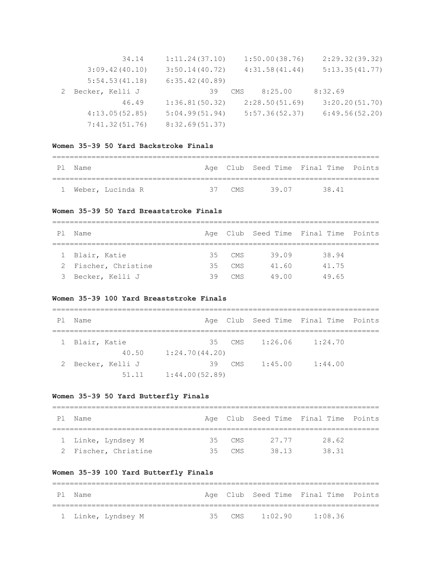| 34.14           | 1:11.24(37.10) | 1:50.00(38.76)  | 2:29.32(39.32) |
|-----------------|----------------|-----------------|----------------|
| 3:09.42(40.10)  | 3:50.14(40.72) | 4:31.58(41.44)  | 5:13.35(41.77) |
| 5:54.53(41.18)  | 6:35.42(40.89) |                 |                |
| Becker, Kelli J | 39             | 8:25.00<br>CMS. | 8:32.69        |
| 46.49           | 1:36.81(50.32) | 2:28.50(51.69)  | 3:20.20(51.70) |
| 4:13.05(52.85)  | 5:04.99(51.94) | 5:57.36(52.37)  | 6:49.56(52.20) |
| 7:41.32(51.76)  | 8:32.69(51.37) |                 |                |

### **Women 35-39 50 Yard Backstroke Finals**

| P 1 | Name               |  |        |       |       | Age Club Seed Time Final Time Points |
|-----|--------------------|--|--------|-------|-------|--------------------------------------|
|     |                    |  |        |       |       |                                      |
|     | 1 Weber, Lucinda R |  | 37 CMS | 39 07 | 38 41 |                                      |

### **Women 35-39 50 Yard Breaststroke Finals**

| PI | Name                 |    |            |       | Age Club Seed Time Final Time Points |  |  |  |  |  |
|----|----------------------|----|------------|-------|--------------------------------------|--|--|--|--|--|
|    |                      |    |            |       |                                      |  |  |  |  |  |
|    | 1 Blair, Katie       |    | $35$ CMS   | 39.09 | 38.94                                |  |  |  |  |  |
|    | 2 Fischer, Christine | 35 | CMS.       | 41.60 | 41.75                                |  |  |  |  |  |
|    | 3 Becker, Kelli J    | 30 | <b>CMS</b> | 49.00 | 49.65                                |  |  |  |  |  |

### **Women 35-39 100 Yard Breaststroke Finals**

| Ρl | Name            |                |          |         | Age Club Seed Time Final Time Points |  |
|----|-----------------|----------------|----------|---------|--------------------------------------|--|
|    | 1 Blair, Katie  |                | $35$ CMS | 1:26.06 | 1:24.70                              |  |
|    | 40.50           | 1:24.70(44.20) |          |         |                                      |  |
|    | Becker, Kelli J | 39             | CMS      | 1:45.00 | 1:44.00                              |  |
|    | 51.11           | 1:44.00(52.89) |          |         |                                      |  |

### **Women 35-39 50 Yard Butterfly Finals**

| P 1 | Name                 |    |          |       | Age Club Seed Time Final Time Points |  |  |  |  |  |
|-----|----------------------|----|----------|-------|--------------------------------------|--|--|--|--|--|
|     |                      |    |          |       |                                      |  |  |  |  |  |
|     | 1 Linke, Lyndsey M   |    | $35$ CMS | 27 77 | 28.62                                |  |  |  |  |  |
|     | 2 Fischer, Christine | 35 | CMS      | 38 13 | 38.31                                |  |  |  |  |  |

# **Women 35-39 100 Yard Butterfly Finals**

| P1 | Name               |  | Age Club Seed Time Final Time Points |  |
|----|--------------------|--|--------------------------------------|--|
|    |                    |  |                                      |  |
|    | 1 Linke, Lyndsey M |  | 35 CMS 1:02.90 1:08.36               |  |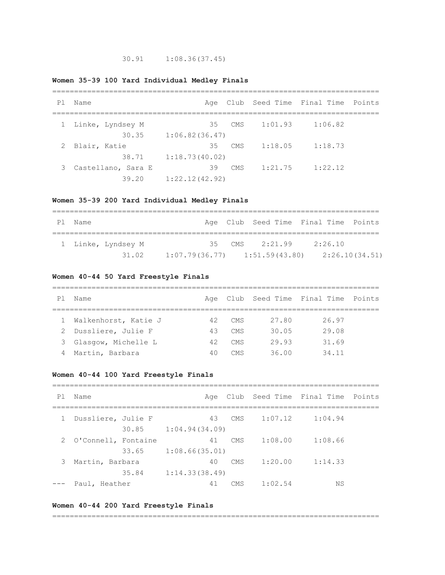# **Women 35-39 100 Yard Individual Medley Finals**

| P1 | Name                 |                |     |         | Age Club Seed Time Final Time Points |  |
|----|----------------------|----------------|-----|---------|--------------------------------------|--|
|    |                      |                |     |         |                                      |  |
|    | 1 Linke, Lyndsey M   | 35             | CMS | 1:01.93 | 1:06.82                              |  |
|    | 30.35                | 1:06.82(36.47) |     |         |                                      |  |
|    | 2 Blair, Katie       | 35             | CMS | 1:18.05 | 1:18.73                              |  |
|    | 38.71                | 1:18.73(40.02) |     |         |                                      |  |
|    | 3 Castellano, Sara E | 39             | CMS | 1:21.75 | 1:22.12                              |  |
|    | 39.20                | 1:22.12(42.92) |     |         |                                      |  |

# **Women 35-39 200 Yard Individual Medley Finals**

| Pl Name |                    |                                   | Age Club Seed Time Final Time Points |                |  |
|---------|--------------------|-----------------------------------|--------------------------------------|----------------|--|
|         |                    |                                   |                                      |                |  |
|         | 1 Linke, Lyndsey M |                                   | 35 CMS 2:21.99                       | 2:26.10        |  |
|         | 31.02              | $1:07.79(36.77)$ $1:51.59(43.80)$ |                                      | 2:26.10(34.51) |  |

# **Women 40-44 50 Yard Freestyle Finals**

| P            | Name                  |    |            |       | Age Club Seed Time Final Time Points |  |  |  |  |  |
|--------------|-----------------------|----|------------|-------|--------------------------------------|--|--|--|--|--|
|              |                       |    |            |       |                                      |  |  |  |  |  |
| $\mathbf{1}$ | Walkenhorst, Katie J  | 42 | CMS        | 27.80 | 26.97                                |  |  |  |  |  |
|              | 2 Dussliere, Julie F  | 43 | <b>CMS</b> | 30.05 | 29.08                                |  |  |  |  |  |
|              | 3 Glasqow, Michelle L | 42 | <b>CMS</b> | 29.93 | 31.69                                |  |  |  |  |  |
|              | 4 Martin, Barbara     | 40 | CMS.       | 36.00 | 34.11                                |  |  |  |  |  |

## **Women 40-44 100 Yard Freestyle Finals**

| P1 | Name                  |       |                |    |            |         | Age Club Seed Time Final Time Points |  |
|----|-----------------------|-------|----------------|----|------------|---------|--------------------------------------|--|
| 1  | Dussliere, Julie F    |       |                | 43 | CMS        | 1:07.12 | 1:04.94                              |  |
|    |                       | 30.85 | 1:04.94(34.09) |    |            |         |                                      |  |
|    | 2 O'Connell, Fontaine |       |                | 41 | CMS        | 1:08.00 | 1:08.66                              |  |
|    |                       | 33.65 | 1:08.66(35.01) |    |            |         |                                      |  |
| 3  | Martin, Barbara       |       |                | 40 | CMS        | 1:20.00 | 1:14.33                              |  |
|    |                       | 35.84 | 1:14.33(38.49) |    |            |         |                                      |  |
|    | Paul, Heather         |       |                | 41 | <b>CMS</b> | 1:02.54 | ΝS                                   |  |

## **Women 40-44 200 Yard Freestyle Finals**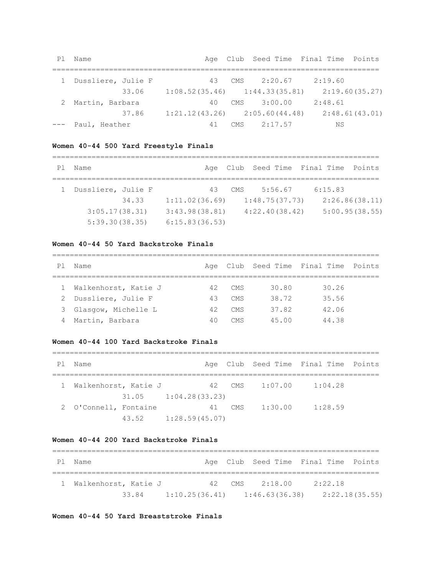| P1    | Name               |  |     |     | Age Club Seed Time Final Time Points |         |                |
|-------|--------------------|--|-----|-----|--------------------------------------|---------|----------------|
|       |                    |  |     |     |                                      |         |                |
|       | Dussliere, Julie F |  | 43  | CMS | 2:20.67                              | 2:19.60 |                |
|       | 33.06              |  |     |     | $1:08.52(35.46)$ $1:44.33(35.81)$    |         | 2:19.60(35.27) |
|       | Martin, Barbara    |  | 4 O | CMS | 3:00.00                              | 2:48.61 |                |
|       | 37.86              |  |     |     | $1:21.12(43.26)$ $2:05.60(44.48)$    |         | 2:48.61(43.01) |
| $---$ | Paul, Heather      |  | 41  | CMS | 2:17.57                              | ΝS      |                |

### **Women 40-44 500 Yard Freestyle Finals**

=========================================================================== Pl Name Age Club Seed Time Final Time Points =========================================================================== 1 Dussliere, Julie F 43 CMS 5:56.67 6:15.83 34.33 1:11.02(36.69) 1:48.75(37.73) 2:26.86(38.11) 3:05.17(38.31) 3:43.98(38.81) 4:22.40(38.42) 5:00.95(38.55) 5:39.30(38.35) 6:15.83(36.53)

### **Women 40-44 50 Yard Backstroke Finals**

#### ===========================================================================

| P1 | Name                  |    |                 |       | Age Club Seed Time Final Time Points |  |
|----|-----------------------|----|-----------------|-------|--------------------------------------|--|
|    |                       |    |                 |       |                                      |  |
|    | Walkenhorst, Katie J  | 42 | CMS             | 30.80 | 30.26                                |  |
|    | 2 Dussliere, Julie F  | 43 | CMS             | 38.72 | 35.56                                |  |
|    | 3 Glasqow, Michelle L | 42 | CMS             | 37.82 | 42.06                                |  |
| 4  | Martin, Barbara       | 40 | CM <sub>S</sub> | 45.00 | 44 38                                |  |

### **Women 40-44 100 Yard Backstroke Finals**

=========================================================================== Pl Name Age Club Seed Time Final Time Points =========================================================================== 1 Walkenhorst, Katie J 42 CMS 1:07.00 1:04.28 31.05 1:04.28(33.23) 2 O'Connell, Fontaine 41 CMS 1:30.00 1:28.59 43.52 1:28.59(45.07)

### **Women 40-44 200 Yard Backstroke Finals**

| P 1 | Name                   |                                   |  |                | Age Club Seed Time Final Time Points |  |  |  |  |  |
|-----|------------------------|-----------------------------------|--|----------------|--------------------------------------|--|--|--|--|--|
|     |                        |                                   |  |                |                                      |  |  |  |  |  |
|     | 1 Walkenhorst, Katie J |                                   |  | 42 CMS 2:18.00 | 2:22.18                              |  |  |  |  |  |
|     | 33.84                  | $1:10.25(36.41)$ $1:46.63(36.38)$ |  |                | 2:22.18(35.55)                       |  |  |  |  |  |

## **Women 40-44 50 Yard Breaststroke Finals**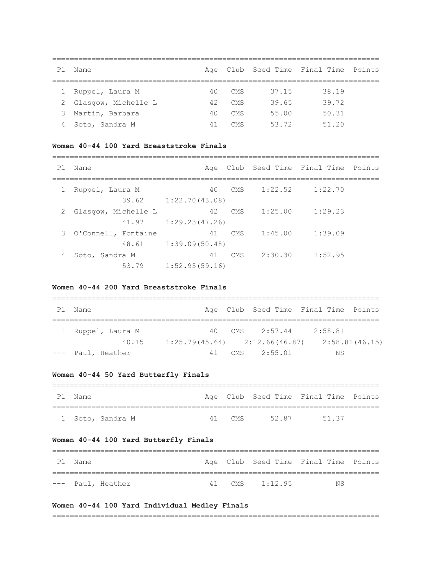| Ρl | Name                  |     |                 |       | Age Club Seed Time Final Time Points |  |
|----|-----------------------|-----|-----------------|-------|--------------------------------------|--|
|    | Ruppel, Laura M       | 4 O | CMS             | 37.15 | 38.19                                |  |
|    | 2 Glasgow, Michelle L | 42  | CMS             | 39.65 | 39.72                                |  |
| 3  | Martin, Barbara       | 4 O | CMS             | 55.00 | 50.31                                |  |
| 4  | Soto, Sandra M        | 41  | CM <sub>S</sub> | 53.72 | 51.20                                |  |

===========================================================================

### **Women 40-44 100 Yard Breaststroke Finals**

===========================================================================

| P1 | Name                | Aae            |            |         | Club Seed Time Final Time Points |  |
|----|---------------------|----------------|------------|---------|----------------------------------|--|
|    | Ruppel, Laura M     | 40             | CMS        | 1:22.52 | 1:22.70                          |  |
|    | 39.62               | 1:22.70(43.08) |            |         |                                  |  |
| 2  | Glasgow, Michelle L | 42             | CMS        | 1:25.00 | 1:29.23                          |  |
|    | 41.97               | 1:29.23(47.26) |            |         |                                  |  |
| 3  | O'Connell, Fontaine | 41             | CMS        | 1:45.00 | 1:39.09                          |  |
|    | 48.61               | 1:39.09(50.48) |            |         |                                  |  |
| 4  | Soto, Sandra M      | 41             | <b>CMS</b> | 2:30.30 | 1:52.95                          |  |
|    | 53.79               | 1:52.95(59.16) |            |         |                                  |  |

### **Women 40-44 200 Yard Breaststroke Finals**

| Ρl | Name              |                                   |     |         | Age Club Seed Time Final Time Points |  |
|----|-------------------|-----------------------------------|-----|---------|--------------------------------------|--|
|    |                   |                                   |     |         |                                      |  |
|    | Ruppel, Laura M   | 40                                | CMS | 2:57.44 | 2:58.81                              |  |
|    | 40.15             | $1:25.79(45.64)$ $2:12.66(46.87)$ |     |         | 2:58.81(46.15)                       |  |
|    | --- Paul, Heather | 41                                | CMS | 2:55.01 | ΝS                                   |  |

## **Women 40-44 50 Yard Butterfly Finals**

| P1 | l Name           |        |       | Age Club Seed Time Final Time Points |  |
|----|------------------|--------|-------|--------------------------------------|--|
|    |                  |        |       |                                      |  |
|    | 1 Soto, Sandra M | 41 CMS | 52 87 | 51.37                                |  |

# **Women 40-44 100 Yard Butterfly Finals**

|  | Pl Name           |  |  |                  | Age Club Seed Time Final Time Points |  |  |  |  |
|--|-------------------|--|--|------------------|--------------------------------------|--|--|--|--|
|  |                   |  |  |                  |                                      |  |  |  |  |
|  | --- Paul, Heather |  |  | 41 CMS $1:12.95$ | NS                                   |  |  |  |  |

## **Women 40-44 100 Yard Individual Medley Finals**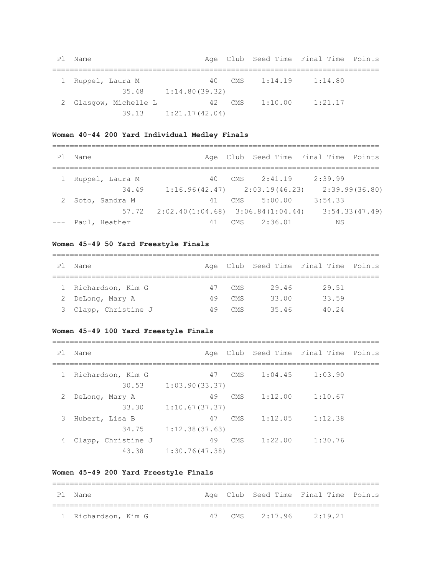| P1 | Name                  |                |        |         | Age Club Seed Time Final Time Points |  |
|----|-----------------------|----------------|--------|---------|--------------------------------------|--|
|    | Ruppel, Laura M       | 40             | CMS.   | 1:14.19 | 1:14.80                              |  |
|    | 35.48                 | 1:14.80(39.32) |        |         |                                      |  |
|    | 2 Glasgow, Michelle L |                | 42 CMS | 1:10.00 | 1:21.17                              |  |
|    | 39.13                 | 1:21.17(42.04) |        |         |                                      |  |

# **Women 40-44 200 Yard Individual Medley Finals**

| P1 | Name              |                                               |      |         | Age Club Seed Time Final Time Points |
|----|-------------------|-----------------------------------------------|------|---------|--------------------------------------|
|    |                   |                                               |      |         |                                      |
|    | 1 Ruppel, Laura M | 40                                            | CMS  | 2:41.19 | 2:39.99                              |
|    | 34.49             | $1:16.96(42.47)$ $2:03.19(46.23)$             |      |         | 2:39.99(36.80)                       |
|    | 2 Soto, Sandra M  | 41                                            | CMS  | 5:00.00 | 3:54.33                              |
|    |                   | $57.72$ $2:02.40(1:04.68)$ $3:06.84(1:04.44)$ |      |         | 3:54.33(47.49)                       |
|    | Paul, Heather     | 41                                            | CMS. | 2:36.01 | ΝS                                   |

# **Women 45-49 50 Yard Freestyle Finals**

| Ρl | Name                 |    |            |       | Age Club Seed Time Final Time Points |  |  |  |  |  |
|----|----------------------|----|------------|-------|--------------------------------------|--|--|--|--|--|
|    |                      |    |            |       |                                      |  |  |  |  |  |
|    | 1 Richardson, Kim G  | 47 | CMS        | 29.46 | 29.51                                |  |  |  |  |  |
|    | 2 DeLong, Mary A     | 49 | CMS        | 33.00 | 33.59                                |  |  |  |  |  |
|    | 3 Clapp, Christine J | 49 | <b>CMS</b> | 35.46 | 40.24                                |  |  |  |  |  |

# **Women 45-49 100 Yard Freestyle Finals**

| Ρl | Name               |                |     |         | Age Club Seed Time Final Time Points |  |
|----|--------------------|----------------|-----|---------|--------------------------------------|--|
|    | Richardson, Kim G  | 47             | CMS | 1:04.45 | 1:03.90                              |  |
|    | 30.53              | 1:03.90(33.37) |     |         |                                      |  |
| 2  | DeLong, Mary A     | 49             | CMS | 1:12.00 | 1:10.67                              |  |
|    | 33.30              | 1:10.67(37.37) |     |         |                                      |  |
| 3  | Hubert, Lisa B     | 47             | CMS | 1:12.05 | 1:12.38                              |  |
|    | 34.75              | 1:12.38(37.63) |     |         |                                      |  |
| 4  | Clapp, Christine J | 49             | CMS | 1:22.00 | 1:30.76                              |  |
|    | 43.38              | 1:30.76(47.38) |     |         |                                      |  |

# **Women 45-49 200 Yard Freestyle Finals**

| P 1 | Name                |  |                            | Age Club Seed Time Final Time Points |  |
|-----|---------------------|--|----------------------------|--------------------------------------|--|
|     |                     |  |                            |                                      |  |
|     | 1 Richardson, Kim G |  | 47 CMS $2:17.96$ $2:19.21$ |                                      |  |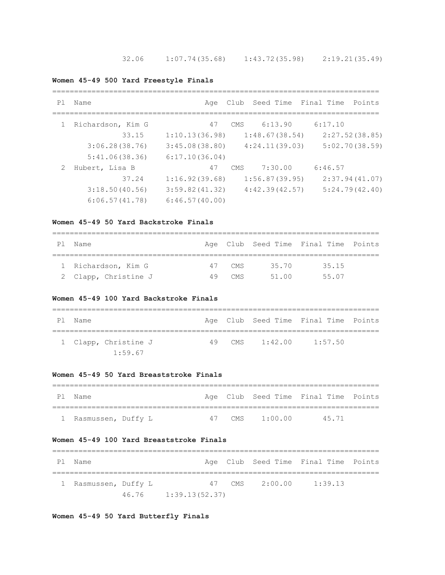## **Women 45-49 500 Yard Freestyle Finals**

| P <sub>1</sub> | Name              | Aae            |                | Club Seed Time Final Time Points |
|----------------|-------------------|----------------|----------------|----------------------------------|
|                | Richardson, Kim G | 47             | 6:13.90<br>CMS | 6:17.10                          |
|                | 33.15             | 1:10.13(36.98) | 1:48.67(38.54) | 2:27.52(38.85)                   |
|                | 3:06.28(38.76)    | 3:45.08(38.80) | 4:24.11(39.03) | 5:02.70(38.59)                   |
|                | 5:41.06(38.36)    | 6:17.10(36.04) |                |                                  |
| 2              | Hubert, Lisa B    | 47             | 7:30.00<br>CMS | 6:46.57                          |
|                | 37.24             | 1:16.92(39.68) | 1:56.87(39.95) | 2:37.94(41.07)                   |
|                | 3:18.50(40.56)    | 3:59.82(41.32) | 4:42.39(42.57) | 5:24.79(42.40)                   |
|                | 6:06.57(41.78)    | 6:46.57(40.00) |                |                                  |

### **Women 45-49 50 Yard Backstroke Finals**

| Ρl | Name                 |    |        |       | Age Club Seed Time Final Time Points |  |  |  |  |
|----|----------------------|----|--------|-------|--------------------------------------|--|--|--|--|
|    |                      |    |        |       |                                      |  |  |  |  |
|    | 1 Richardson, Kim G  |    | 47 CMS | 35 70 | 35.15                                |  |  |  |  |
|    | 2 Clapp, Christine J | 49 | CMS.   | 51 00 | 55.07                                |  |  |  |  |

## **Women 45-49 100 Yard Backstroke Finals**

| P1 | Name                 |  |        |         | Age Club Seed Time Final Time Points |  |  |  |  |
|----|----------------------|--|--------|---------|--------------------------------------|--|--|--|--|
|    | 1 Clapp, Christine J |  | 49 CMS | 1:42.00 | 1:57.50                              |  |  |  |  |
|    | 1:59.67              |  |        |         |                                      |  |  |  |  |

### **Women 45-49 50 Yard Breaststroke Finals**

| Pl Name              |  |                  | Age Club Seed Time Final Time Points |
|----------------------|--|------------------|--------------------------------------|
|                      |  |                  |                                      |
| 1 Rasmussen, Duffy L |  | 47 CMS $1:00.00$ | 45 71                                |

## **Women 45-49 100 Yard Breaststroke Finals**

| P1 | l Name               |       |                |                | Age Club Seed Time Final Time Points |  |
|----|----------------------|-------|----------------|----------------|--------------------------------------|--|
|    | 1 Rasmussen, Duffy L |       |                | 47 CMS 2:00.00 | 1:39.13                              |  |
|    |                      | 46.76 | 1:39.13(52.37) |                |                                      |  |

## **Women 45-49 50 Yard Butterfly Finals**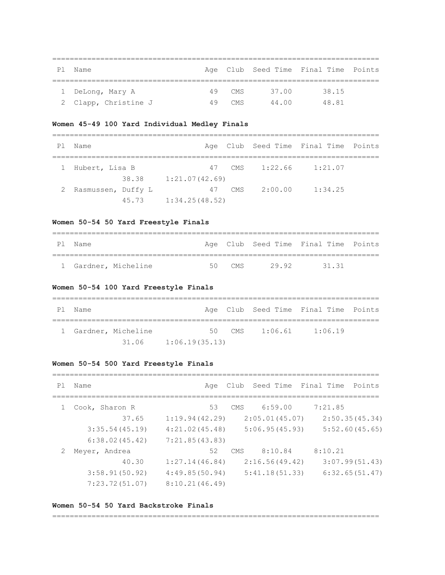| P 1 | Name                 |     |        |       | Age Club Seed Time Final Time Points |  |
|-----|----------------------|-----|--------|-------|--------------------------------------|--|
|     | 1 DeLong, Mary A     |     | 49 CMS | 37.00 | 38.15                                |  |
|     | 2 Clapp, Christine J | 49. | CMS    | 44.00 | 48 81                                |  |

## **Women 45-49 100 Yard Individual Medley Finals**

| P 1 | Name                 |       |                |    |        |         | Age Club Seed Time Final Time Points |  |
|-----|----------------------|-------|----------------|----|--------|---------|--------------------------------------|--|
|     | Hubert, Lisa B       |       |                |    | 47 CMS | 1:22.66 | 1:21.07                              |  |
|     |                      | 38.38 | 1:21.07(42.69) |    |        |         |                                      |  |
|     | 2 Rasmussen, Duffy L |       |                | 47 | CMS.   | 2:00.00 | 1:34.25                              |  |
|     |                      | 45.73 | 1:34.25(48.52) |    |        |         |                                      |  |

### **Women 50-54 50 Yard Freestyle Finals**

| Pl Name              |        |      | Age Club Seed Time Final Time Points |  |
|----------------------|--------|------|--------------------------------------|--|
|                      |        |      |                                      |  |
| 1 Gardner, Micheline | 50 CMS | 2992 | 31 31                                |  |

## **Women 50-54 100 Yard Freestyle Finals**

| Pl Name |                      |                          |  | Age Club Seed Time Final Time Points |  |
|---------|----------------------|--------------------------|--|--------------------------------------|--|
|         |                      |                          |  |                                      |  |
|         | 1 Gardner, Micheline |                          |  | 50 CMS 1:06.61 1:06.19               |  |
|         |                      | $31.06$ $1:06.19(35.13)$ |  |                                      |  |

# **Women 50-54 500 Yard Freestyle Finals**

| PI | Name           |                |                       | Age Club Seed Time Final Time Points |
|----|----------------|----------------|-----------------------|--------------------------------------|
|    | Cook, Sharon R | 53             | 6:59.00<br>CMS        | 7:21.85                              |
|    | 37.65          | 1:19.94(42.29) | 2:05.01(45.07)        | 2:50.35(45.34)                       |
|    | 3:35.54(45.19) | 4:21.02(45.48) | 5:06.95(45.93)        | 5:52.60(45.65)                       |
|    | 6:38.02(45.42) | 7:21.85(43.83) |                       |                                      |
| 2  | Meyer, Andrea  | 52             | 8:10.84<br><b>CMS</b> | 8:10.21                              |
|    | 40.30          | 1:27.14(46.84) | 2:16.56(49.42)        | 3:07.99(51.43)                       |
|    | 3:58.91(50.92) | 4:49.85(50.94) | 5:41.18(51.33)        | 6:32.65(51.47)                       |
|    | 7:23.72(51.07) | 8:10.21(46.49) |                       |                                      |

### **Women 50-54 50 Yard Backstroke Finals**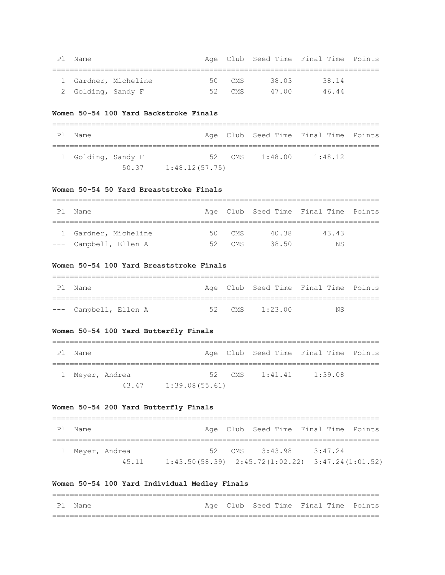| P1 | Name               |                      |        |       | Age Club Seed Time Final Time Points |  |
|----|--------------------|----------------------|--------|-------|--------------------------------------|--|
|    |                    |                      |        |       |                                      |  |
|    |                    | 1 Gardner, Micheline | 50 CMS | 38.03 | 38.14                                |  |
|    | 2 Golding, Sandy F |                      | 52 CMS | 47.00 | 46.44                                |  |

### **Women 50-54 100 Yard Backstroke Finals**

| Ρl | Name               |       |                |  |                              | Age Club Seed Time Final Time Points |  |  |  |
|----|--------------------|-------|----------------|--|------------------------------|--------------------------------------|--|--|--|
|    |                    |       |                |  |                              |                                      |  |  |  |
|    | 1 Golding, Sandy F |       |                |  | $52 \quad CMS \quad 1:48.00$ | 1:48.12                              |  |  |  |
|    |                    | 50.37 | 1:48.12(57.75) |  |                              |                                      |  |  |  |

### **Women 50-54 50 Yard Breaststroke Finals**

| P1 | Name                  |                |        |       | Age Club Seed Time Final Time Points |  |  |  |  |  |
|----|-----------------------|----------------|--------|-------|--------------------------------------|--|--|--|--|--|
|    |                       |                |        |       |                                      |  |  |  |  |  |
|    | 1 Gardner, Micheline  |                | 50 CMS | 40.38 | 43.43                                |  |  |  |  |  |
|    | --- Campbell, Ellen A | いつい こうしゃ ちょうしゃ | CMS.   | 38 50 | N.S                                  |  |  |  |  |  |

### **Women 50-54 100 Yard Breaststroke Finals**

| P1 | l Name                |  |                | Age Club Seed Time Final Time Points |
|----|-----------------------|--|----------------|--------------------------------------|
|    |                       |  |                |                                      |
|    | --- Campbell, Ellen A |  | 52 CMS 1:23.00 | NS.                                  |

## **Women 50-54 100 Yard Butterfly Finals**

| P1 | Name            |       |                |  |                  | Age Club Seed Time Final Time Points |  |  |  |
|----|-----------------|-------|----------------|--|------------------|--------------------------------------|--|--|--|
|    | 1 Meyer, Andrea |       |                |  | 52 CMS $1:41.41$ | 1:39.08                              |  |  |  |
|    |                 | 43 47 | 1:39.08(55.61) |  |                  |                                      |  |  |  |

## **Women 50-54 200 Yard Butterfly Finals**

| Pl Name |                 |                                                        | Age Club Seed Time Final Time Points |         |  |
|---------|-----------------|--------------------------------------------------------|--------------------------------------|---------|--|
|         | 1 Meyer, Andrea |                                                        | 52 CMS 3:43.98                       | 3:47.24 |  |
|         | 45.11           | $1:43.50(58.39)$ $2:45.72(1:02.22)$ $3:47.24(1:01.52)$ |                                      |         |  |

===========================================================================

# **Women 50-54 100 Yard Individual Medley Finals**

| Pl Name |  |  |  | Age Club Seed Time Final Time Points |  |  |  |
|---------|--|--|--|--------------------------------------|--|--|--|
|         |  |  |  |                                      |  |  |  |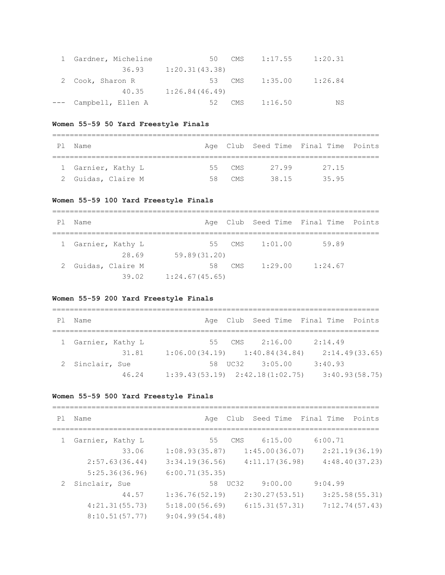| 1 Gardner, Micheline  | 50             | CMS  | 1:17.55 | 1:20.31 |
|-----------------------|----------------|------|---------|---------|
| 36.93                 | 1:20.31(43.38) |      |         |         |
| 2 Cook, Sharon R      | 53             | CMS  | 1:35.00 | 1:26.84 |
| 40.35                 | 1:26.84(46.49) |      |         |         |
| --- Campbell, Ellen A | 52             | CMS. | 1:16.50 | ΝS      |

### **Women 55-59 50 Yard Freestyle Finals**

| P <sub>1</sub> | Name               |    |            |       | Age Club Seed Time Final Time Points |  |  |  |  |
|----------------|--------------------|----|------------|-------|--------------------------------------|--|--|--|--|
|                |                    |    |            |       |                                      |  |  |  |  |
|                | 1 Garnier, Kathy L |    | 55 CMS     | 2799  | 27.15                                |  |  |  |  |
|                | 2 Guidas, Claire M | 58 | <b>CMS</b> | 38 15 | 35 95                                |  |  |  |  |

### **Women 55-59 100 Yard Freestyle Finals**

| P1 | Name               |                |        |         | Age Club Seed Time Final Time Points |  |  |  |  |  |
|----|--------------------|----------------|--------|---------|--------------------------------------|--|--|--|--|--|
|    | 1 Garnier, Kathy L |                | 55 CMS | 1:01.00 | 59.89                                |  |  |  |  |  |
|    | 28.69              | 59.89(31.20)   |        |         |                                      |  |  |  |  |  |
|    | 2 Guidas, Claire M | 58             | CMS    | 1:29.00 | 1:24.67                              |  |  |  |  |  |
|    | 39.02              | 1:24.67(45.65) |        |         |                                      |  |  |  |  |  |

### **Women 55-59 200 Yard Freestyle Finals**

| P1 | Name               |                                     |        |                 | Age Club Seed Time Final Time Points |  |
|----|--------------------|-------------------------------------|--------|-----------------|--------------------------------------|--|
|    |                    |                                     |        |                 |                                      |  |
|    | 1 Garnier, Kathy L |                                     | 55 CMS | 2:16.00         | 2:14.49                              |  |
|    | 31.81              | $1:06.00(34.19)$ $1:40.84(34.84)$   |        |                 | 2:14.49(33.65)                       |  |
|    | 2 Sinclair, Sue    |                                     |        | 58 UC32 3:05.00 | 3:40.93                              |  |
|    | 46.24              | $1:39.43(53.19)$ $2:42.18(1:02.75)$ |        |                 | 3:40.93(58.75)                       |  |

### **Women 55-59 500 Yard Freestyle Finals**

=========================================================================== Pl Name Age Club Seed Time Final Time Points =========================================================================== 1 Garnier, Kathy L 55 CMS 6:15.00 6:00.71 33.06 1:08.93(35.87) 1:45.00(36.07) 2:21.19(36.19) 2:57.63(36.44) 3:34.19(36.56) 4:11.17(36.98) 4:48.40(37.23) 5:25.36(36.96) 6:00.71(35.35) 2 Sinclair, Sue 58 UC32 9:00.00 9:04.99 44.57 1:36.76(52.19) 2:30.27(53.51) 3:25.58(55.31) 4:21.31(55.73) 5:18.00(56.69) 6:15.31(57.31) 7:12.74(57.43) 8:10.51(57.77) 9:04.99(54.48)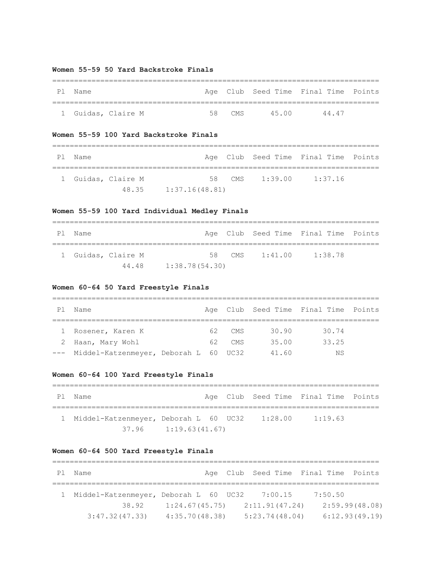### **Women 55-59 50 Yard Backstroke Finals**

| Pl Name            |    |            |      | Age Club Seed Time Final Time Points |  |
|--------------------|----|------------|------|--------------------------------------|--|
|                    |    |            |      |                                      |  |
| 1 Guidas, Claire M | 58 | $\sim$ CMS | 4500 | 44.47                                |  |

### **Women 55-59 100 Yard Backstroke Finals**

| Pl Name |                    |                |        |         | Age Club Seed Time Final Time Points |  |  |  |  |
|---------|--------------------|----------------|--------|---------|--------------------------------------|--|--|--|--|
|         | 1 Guidas, Claire M |                | 58 CMS | 1:39.00 | 1:37.16                              |  |  |  |  |
|         | 48.35              | 1:37.16(48.81) |        |         |                                      |  |  |  |  |

# **Women 55-59 100 Yard Individual Medley Finals**

| Ρl | Name |                    |                |                | Age Club Seed Time Final Time Points |  |
|----|------|--------------------|----------------|----------------|--------------------------------------|--|
|    |      |                    |                |                |                                      |  |
|    |      | 1 Guidas, Claire M |                | 58 CMS 1:41.00 | 1:38.78                              |  |
|    |      | 44.48              | 1:38.78(54.30) |                |                                      |  |

## **Women 60-64 50 Yard Freestyle Finals**

| P1 | Name                                      |     |     |       | Age Club Seed Time Final Time Points |  |  |  |  |  |  |  |  |
|----|-------------------------------------------|-----|-----|-------|--------------------------------------|--|--|--|--|--|--|--|--|
|    |                                           |     |     |       |                                      |  |  |  |  |  |  |  |  |
|    | 1 Rosener, Karen K                        | 62. | CMS | 30.90 | 30.74                                |  |  |  |  |  |  |  |  |
|    | 2 Haan, Mary Wohl                         | 62  | CMS | 35.00 | 33.25                                |  |  |  |  |  |  |  |  |
|    | --- Middel-Katzenmeyer, Deborah L 60 UC32 |     |     | 41.60 | ΝS                                   |  |  |  |  |  |  |  |  |

## **Women 60-64 100 Yard Freestyle Finals**

| P 1 | Name                                            |                        |  |  | Age Club Seed Time Final Time Points |  |
|-----|-------------------------------------------------|------------------------|--|--|--------------------------------------|--|
|     | 1 Middel-Katzenmeyer, Deborah L 60 UC32 1:28.00 |                        |  |  | 1:19.63                              |  |
|     |                                                 | $37.96$ 1:19.63(41.67) |  |  |                                      |  |

# **Women 60-64 500 Yard Freestyle Finals**

| P 1 | Name                                          |                |  | Age Club Seed Time Final Time Points |         |                |
|-----|-----------------------------------------------|----------------|--|--------------------------------------|---------|----------------|
|     |                                               |                |  |                                      |         |                |
|     | Middel-Katzenmeyer, Deborah L 60 UC32 7:00.15 |                |  |                                      | 7:50.50 |                |
|     | 38.92                                         | 1:24.67(45.75) |  | 2:11.91(47.24)                       |         | 2:59.99(48.08) |
|     | 3:47.32(47.33)                                | 4:35.70(48.38) |  | 5:23.74(48.04)                       |         | 6:12.93(49.19) |